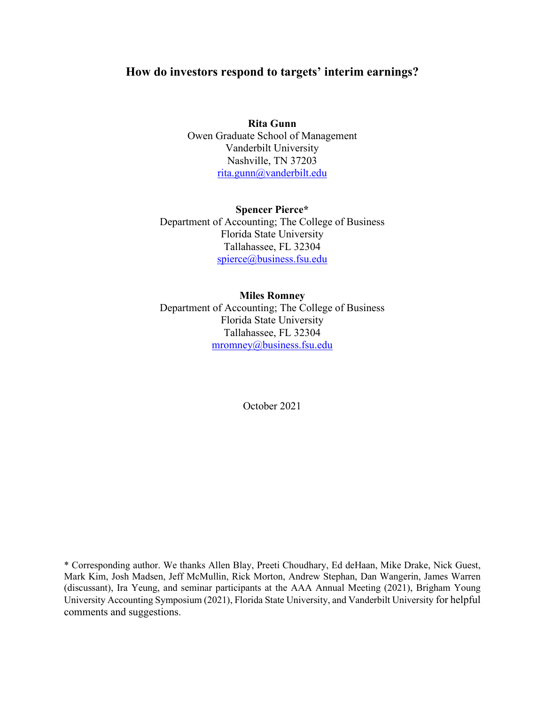# **How do investors respond to targets' interim earnings?**

**Rita Gunn** Owen Graduate School of Management Vanderbilt University Nashville, TN 37203 rita.gunn@vanderbilt.edu

**Spencer Pierce\*** Department of Accounting; The College of Business Florida State University Tallahassee, FL 32304 spierce@business.fsu.edu

**Miles Romney** Department of Accounting; The College of Business Florida State University Tallahassee, FL 32304 mromney@business.fsu.edu

October 2021

\* Corresponding author. We thanks Allen Blay, Preeti Choudhary, Ed deHaan, Mike Drake, Nick Guest, Mark Kim, Josh Madsen, Jeff McMullin, Rick Morton, Andrew Stephan, Dan Wangerin, James Warren (discussant), Ira Yeung, and seminar participants at the AAA Annual Meeting (2021), Brigham Young University Accounting Symposium (2021), Florida State University, and Vanderbilt University for helpful comments and suggestions.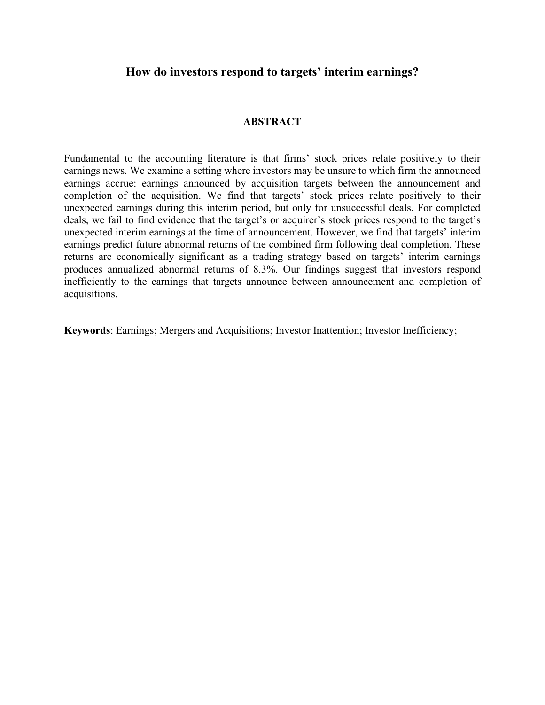# **How do investors respond to targets' interim earnings?**

# **ABSTRACT**

Fundamental to the accounting literature is that firms' stock prices relate positively to their earnings news. We examine a setting where investors may be unsure to which firm the announced earnings accrue: earnings announced by acquisition targets between the announcement and completion of the acquisition. We find that targets' stock prices relate positively to their unexpected earnings during this interim period, but only for unsuccessful deals. For completed deals, we fail to find evidence that the target's or acquirer's stock prices respond to the target's unexpected interim earnings at the time of announcement. However, we find that targets' interim earnings predict future abnormal returns of the combined firm following deal completion. These returns are economically significant as a trading strategy based on targets' interim earnings produces annualized abnormal returns of 8.3%. Our findings suggest that investors respond inefficiently to the earnings that targets announce between announcement and completion of acquisitions.

**Keywords**: Earnings; Mergers and Acquisitions; Investor Inattention; Investor Inefficiency;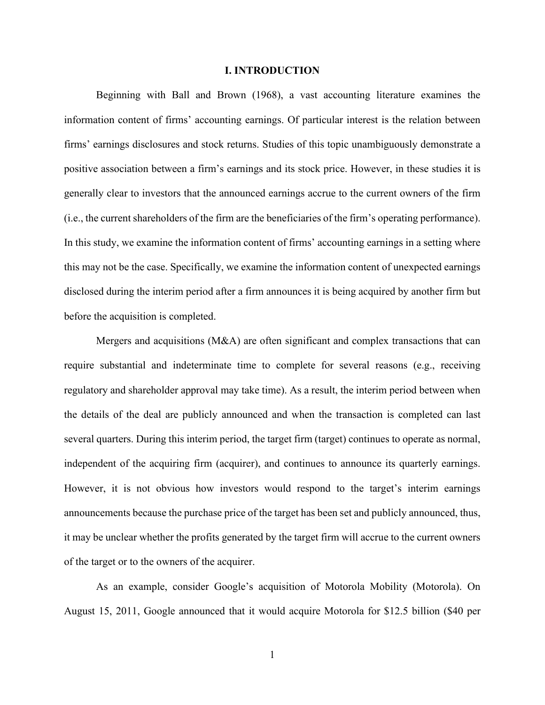### **I. INTRODUCTION**

Beginning with Ball and Brown (1968), a vast accounting literature examines the information content of firms' accounting earnings. Of particular interest is the relation between firms' earnings disclosures and stock returns. Studies of this topic unambiguously demonstrate a positive association between a firm's earnings and its stock price. However, in these studies it is generally clear to investors that the announced earnings accrue to the current owners of the firm (i.e., the current shareholders of the firm are the beneficiaries of the firm's operating performance). In this study, we examine the information content of firms' accounting earnings in a setting where this may not be the case. Specifically, we examine the information content of unexpected earnings disclosed during the interim period after a firm announces it is being acquired by another firm but before the acquisition is completed.

Mergers and acquisitions  $(M&A)$  are often significant and complex transactions that can require substantial and indeterminate time to complete for several reasons (e.g., receiving regulatory and shareholder approval may take time). As a result, the interim period between when the details of the deal are publicly announced and when the transaction is completed can last several quarters. During this interim period, the target firm (target) continues to operate as normal, independent of the acquiring firm (acquirer), and continues to announce its quarterly earnings. However, it is not obvious how investors would respond to the target's interim earnings announcements because the purchase price of the target has been set and publicly announced, thus, it may be unclear whether the profits generated by the target firm will accrue to the current owners of the target or to the owners of the acquirer.

As an example, consider Google's acquisition of Motorola Mobility (Motorola). On August 15, 2011, Google announced that it would acquire Motorola for \$12.5 billion (\$40 per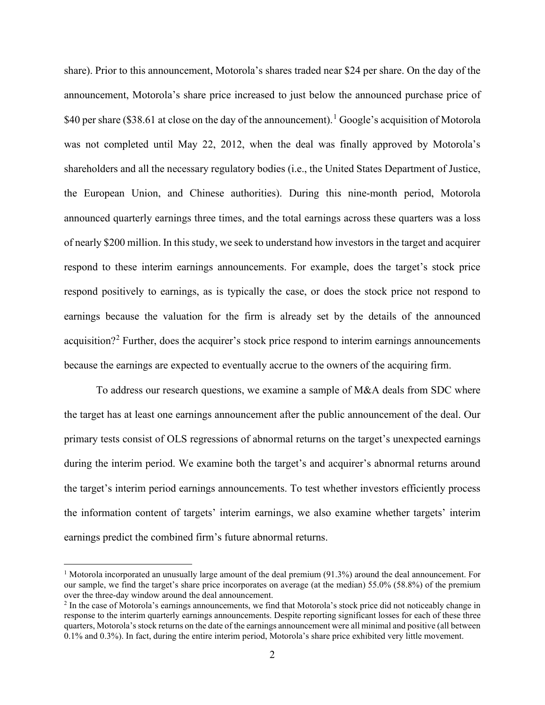share). Prior to this announcement, Motorola's shares traded near \$24 per share. On the day of the announcement, Motorola's share price increased to just below the announced purchase price of \$40 per share (\$38.61 at close on the day of the announcement).<sup>1</sup> Google's acquisition of Motorola was not completed until May 22, 2012, when the deal was finally approved by Motorola's shareholders and all the necessary regulatory bodies (i.e., the United States Department of Justice, the European Union, and Chinese authorities). During this nine-month period, Motorola announced quarterly earnings three times, and the total earnings across these quarters was a loss of nearly \$200 million. In this study, we seek to understand how investors in the target and acquirer respond to these interim earnings announcements. For example, does the target's stock price respond positively to earnings, as is typically the case, or does the stock price not respond to earnings because the valuation for the firm is already set by the details of the announced acquisition?<sup>2</sup> Further, does the acquirer's stock price respond to interim earnings announcements because the earnings are expected to eventually accrue to the owners of the acquiring firm.

To address our research questions, we examine a sample of M&A deals from SDC where the target has at least one earnings announcement after the public announcement of the deal. Our primary tests consist of OLS regressions of abnormal returns on the target's unexpected earnings during the interim period. We examine both the target's and acquirer's abnormal returns around the target's interim period earnings announcements. To test whether investors efficiently process the information content of targets' interim earnings, we also examine whether targets' interim earnings predict the combined firm's future abnormal returns.

<sup>&</sup>lt;sup>1</sup> Motorola incorporated an unusually large amount of the deal premium (91.3%) around the deal announcement. For our sample, we find the target's share price incorporates on average (at the median) 55.0% (58.8%) of the premium over the three-day window around the deal announcement.

<sup>&</sup>lt;sup>2</sup> In the case of Motorola's earnings announcements, we find that Motorola's stock price did not noticeably change in response to the interim quarterly earnings announcements. Despite reporting significant losses for each of these three quarters, Motorola's stock returns on the date of the earnings announcement were all minimal and positive (all between 0.1% and 0.3%). In fact, during the entire interim period, Motorola's share price exhibited very little movement.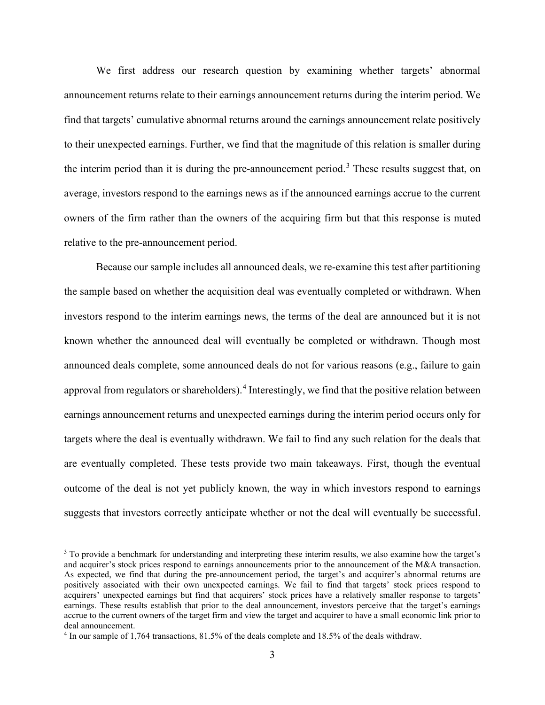We first address our research question by examining whether targets' abnormal announcement returns relate to their earnings announcement returns during the interim period. We find that targets' cumulative abnormal returns around the earnings announcement relate positively to their unexpected earnings. Further, we find that the magnitude of this relation is smaller during the interim period than it is during the pre-announcement period.<sup>3</sup> These results suggest that, on average, investors respond to the earnings news as if the announced earnings accrue to the current owners of the firm rather than the owners of the acquiring firm but that this response is muted relative to the pre-announcement period.

Because our sample includes all announced deals, we re-examine this test after partitioning the sample based on whether the acquisition deal was eventually completed or withdrawn. When investors respond to the interim earnings news, the terms of the deal are announced but it is not known whether the announced deal will eventually be completed or withdrawn. Though most announced deals complete, some announced deals do not for various reasons (e.g., failure to gain approval from regulators or shareholders).<sup>4</sup> Interestingly, we find that the positive relation between earnings announcement returns and unexpected earnings during the interim period occurs only for targets where the deal is eventually withdrawn. We fail to find any such relation for the deals that are eventually completed. These tests provide two main takeaways. First, though the eventual outcome of the deal is not yet publicly known, the way in which investors respond to earnings suggests that investors correctly anticipate whether or not the deal will eventually be successful.

<sup>&</sup>lt;sup>3</sup> To provide a benchmark for understanding and interpreting these interim results, we also examine how the target's and acquirer's stock prices respond to earnings announcements prior to the announcement of the M&A transaction. As expected, we find that during the pre-announcement period, the target's and acquirer's abnormal returns are positively associated with their own unexpected earnings. We fail to find that targets' stock prices respond to acquirers' unexpected earnings but find that acquirers' stock prices have a relatively smaller response to targets' earnings. These results establish that prior to the deal announcement, investors perceive that the target's earnings accrue to the current owners of the target firm and view the target and acquirer to have a small economic link prior to deal announcement.

<sup>4</sup> In our sample of 1,764 transactions, 81.5% of the deals complete and 18.5% of the deals withdraw.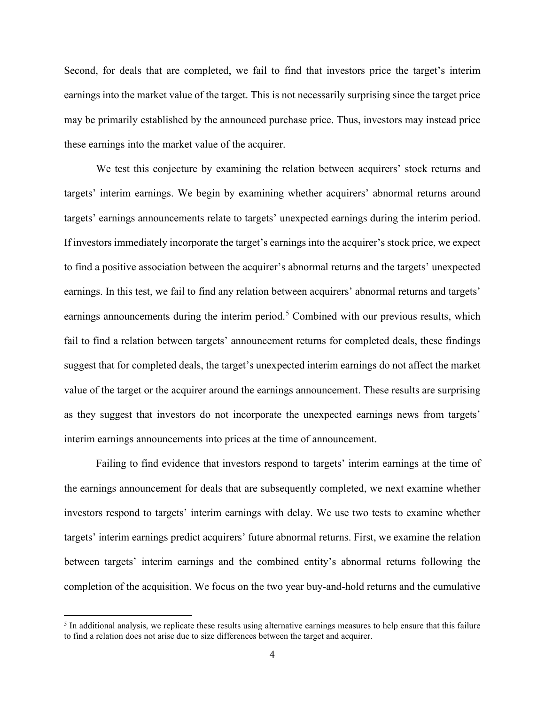Second, for deals that are completed, we fail to find that investors price the target's interim earnings into the market value of the target. This is not necessarily surprising since the target price may be primarily established by the announced purchase price. Thus, investors may instead price these earnings into the market value of the acquirer.

We test this conjecture by examining the relation between acquirers' stock returns and targets' interim earnings. We begin by examining whether acquirers' abnormal returns around targets' earnings announcements relate to targets' unexpected earnings during the interim period. If investors immediately incorporate the target's earnings into the acquirer's stock price, we expect to find a positive association between the acquirer's abnormal returns and the targets' unexpected earnings. In this test, we fail to find any relation between acquirers' abnormal returns and targets' earnings announcements during the interim period.<sup>5</sup> Combined with our previous results, which fail to find a relation between targets' announcement returns for completed deals, these findings suggest that for completed deals, the target's unexpected interim earnings do not affect the market value of the target or the acquirer around the earnings announcement. These results are surprising as they suggest that investors do not incorporate the unexpected earnings news from targets' interim earnings announcements into prices at the time of announcement.

Failing to find evidence that investors respond to targets' interim earnings at the time of the earnings announcement for deals that are subsequently completed, we next examine whether investors respond to targets' interim earnings with delay. We use two tests to examine whether targets' interim earnings predict acquirers' future abnormal returns. First, we examine the relation between targets' interim earnings and the combined entity's abnormal returns following the completion of the acquisition. We focus on the two year buy-and-hold returns and the cumulative

<sup>&</sup>lt;sup>5</sup> In additional analysis, we replicate these results using alternative earnings measures to help ensure that this failure to find a relation does not arise due to size differences between the target and acquirer.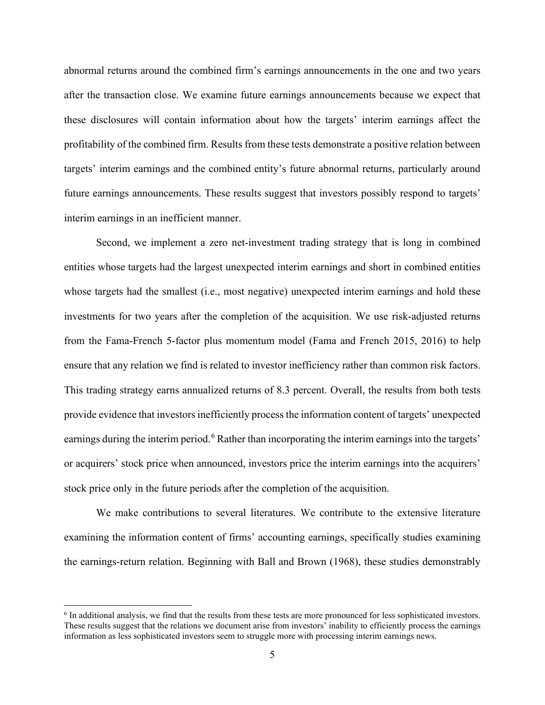abnormal returns around the combined firm's earnings announcements in the one and two years after the transaction close. We examine future earnings announcements because we expect that these disclosures will contain information about how the targets' interim earnings affect the profitability of the combined firm. Results from these tests demonstrate a positive relation between targets' interim earnings and the combined entity's future abnormal returns, particularly around future earnings announcements. These results suggest that investors possibly respond to targets' interim earnings in an inefficient manner.

Second, we implement a zero net-investment trading strategy that is long in combined entities whose targets had the largest unexpected interim earnings and short in combined entities whose targets had the smallest (i.e., most negative) unexpected interim earnings and hold these investments for two years after the completion of the acquisition. We use risk-adjusted returns from the Fama-French 5-factor plus momentum model (Fama and French 2015, 2016) to help ensure that any relation we find is related to investor inefficiency rather than common risk factors. This trading strategy earns annualized returns of 8.3 percent. Overall, the results from both tests provide evidence that investors inefficiently processthe information content of targets' unexpected earnings during the interim period.<sup>6</sup> Rather than incorporating the interim earnings into the targets' or acquirers' stock price when announced, investors price the interim earnings into the acquirers' stock price only in the future periods after the completion of the acquisition.

We make contributions to several literatures. We contribute to the extensive literature examining the information content of firms' accounting earnings, specifically studies examining the earnings-return relation. Beginning with Ball and Brown (1968), these studies demonstrably

<sup>6</sup> In additional analysis, we find that the results from these tests are more pronounced for less sophisticated investors. These results suggest that the relations we document arise from investors' inability to efficiently process the earnings information as less sophisticated investors seem to struggle more with processing interim earnings news.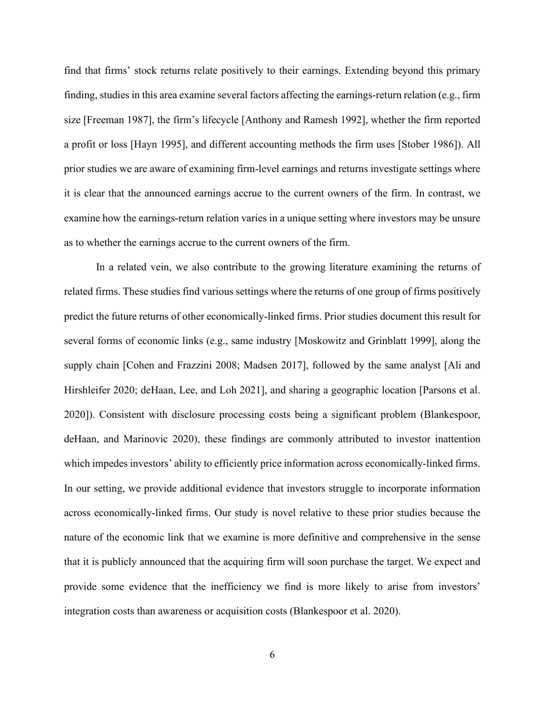find that firms' stock returns relate positively to their earnings. Extending beyond this primary finding, studies in this area examine several factors affecting the earnings-return relation (e.g., firm size [Freeman 1987], the firm's lifecycle [Anthony and Ramesh 1992], whether the firm reported a profit or loss [Hayn 1995], and different accounting methods the firm uses [Stober 1986]). All prior studies we are aware of examining firm-level earnings and returns investigate settings where it is clear that the announced earnings accrue to the current owners of the firm. In contrast, we examine how the earnings-return relation varies in a unique setting where investors may be unsure as to whether the earnings accrue to the current owners of the firm.

In a related vein, we also contribute to the growing literature examining the returns of related firms. These studies find various settings where the returns of one group of firms positively predict the future returns of other economically-linked firms. Prior studies document this result for several forms of economic links (e.g., same industry [Moskowitz and Grinblatt 1999], along the supply chain [Cohen and Frazzini 2008; Madsen 2017], followed by the same analyst [Ali and Hirshleifer 2020; deHaan, Lee, and Loh 2021], and sharing a geographic location [Parsons et al. 2020]). Consistent with disclosure processing costs being a significant problem (Blankespoor, deHaan, and Marinovic 2020), these findings are commonly attributed to investor inattention which impedes investors' ability to efficiently price information across economically-linked firms. In our setting, we provide additional evidence that investors struggle to incorporate information across economically-linked firms. Our study is novel relative to these prior studies because the nature of the economic link that we examine is more definitive and comprehensive in the sense that it is publicly announced that the acquiring firm will soon purchase the target. We expect and provide some evidence that the inefficiency we find is more likely to arise from investors' integration costs than awareness or acquisition costs (Blankespoor et al. 2020).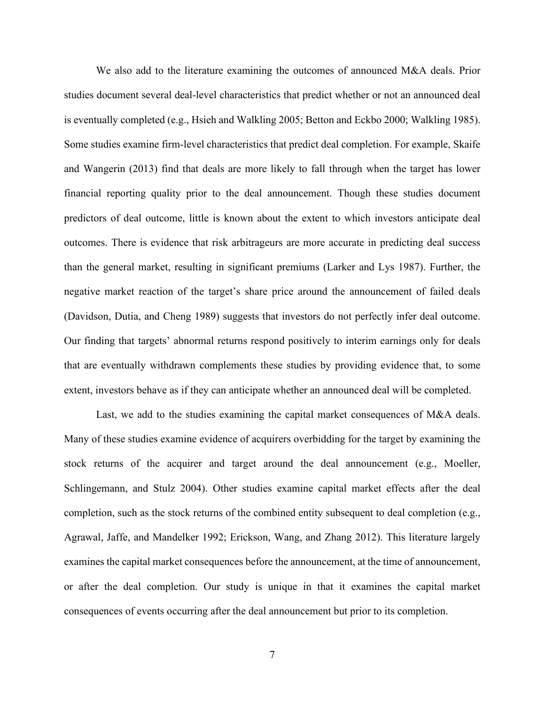We also add to the literature examining the outcomes of announced M&A deals. Prior studies document several deal-level characteristics that predict whether or not an announced deal is eventually completed (e.g., Hsieh and Walkling 2005; Betton and Eckbo 2000; Walkling 1985). Some studies examine firm-level characteristics that predict deal completion. For example, Skaife and Wangerin (2013) find that deals are more likely to fall through when the target has lower financial reporting quality prior to the deal announcement. Though these studies document predictors of deal outcome, little is known about the extent to which investors anticipate deal outcomes. There is evidence that risk arbitrageurs are more accurate in predicting deal success than the general market, resulting in significant premiums (Larker and Lys 1987). Further, the negative market reaction of the target's share price around the announcement of failed deals (Davidson, Dutia, and Cheng 1989) suggests that investors do not perfectly infer deal outcome. Our finding that targets' abnormal returns respond positively to interim earnings only for deals that are eventually withdrawn complements these studies by providing evidence that, to some extent, investors behave as if they can anticipate whether an announced deal will be completed.

Last, we add to the studies examining the capital market consequences of M&A deals. Many of these studies examine evidence of acquirers overbidding for the target by examining the stock returns of the acquirer and target around the deal announcement (e.g., Moeller, Schlingemann, and Stulz 2004). Other studies examine capital market effects after the deal completion, such as the stock returns of the combined entity subsequent to deal completion (e.g., Agrawal, Jaffe, and Mandelker 1992; Erickson, Wang, and Zhang 2012). This literature largely examines the capital market consequences before the announcement, at the time of announcement, or after the deal completion. Our study is unique in that it examines the capital market consequences of events occurring after the deal announcement but prior to its completion.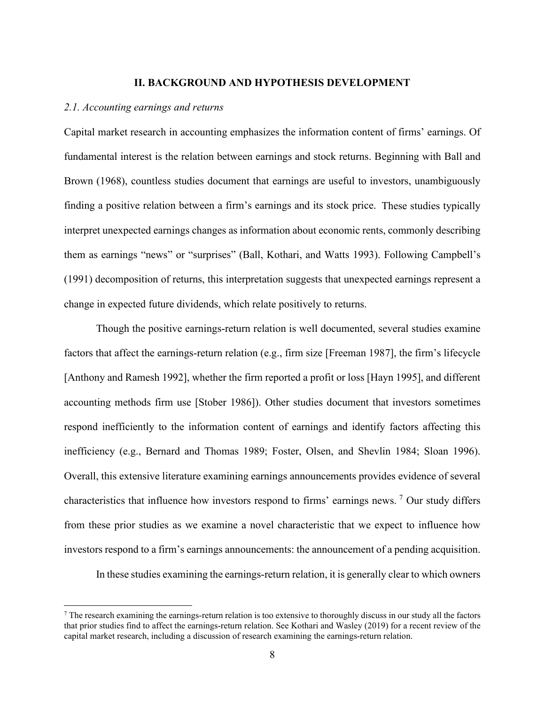#### **II. BACKGROUND AND HYPOTHESIS DEVELOPMENT**

### *2.1. Accounting earnings and returns*

Capital market research in accounting emphasizes the information content of firms' earnings. Of fundamental interest is the relation between earnings and stock returns. Beginning with Ball and Brown (1968), countless studies document that earnings are useful to investors, unambiguously finding a positive relation between a firm's earnings and its stock price. These studies typically interpret unexpected earnings changes as information about economic rents, commonly describing them as earnings "news" or "surprises" (Ball, Kothari, and Watts 1993). Following Campbell's (1991) decomposition of returns, this interpretation suggests that unexpected earnings represent a change in expected future dividends, which relate positively to returns.

Though the positive earnings-return relation is well documented, several studies examine factors that affect the earnings-return relation (e.g., firm size [Freeman 1987], the firm's lifecycle [Anthony and Ramesh 1992], whether the firm reported a profit or loss [Hayn 1995], and different accounting methods firm use [Stober 1986]). Other studies document that investors sometimes respond inefficiently to the information content of earnings and identify factors affecting this inefficiency (e.g., Bernard and Thomas 1989; Foster, Olsen, and Shevlin 1984; Sloan 1996). Overall, this extensive literature examining earnings announcements provides evidence of several characteristics that influence how investors respond to firms' earnings news. <sup>7</sup> Our study differs from these prior studies as we examine a novel characteristic that we expect to influence how investors respond to a firm's earnings announcements: the announcement of a pending acquisition.

In these studies examining the earnings-return relation, it is generally clear to which owners

 $^7$  The research examining the earnings-return relation is too extensive to thoroughly discuss in our study all the factors that prior studies find to affect the earnings-return relation. See Kothari and Wasley (2019) for a recent review of the capital market research, including a discussion of research examining the earnings-return relation.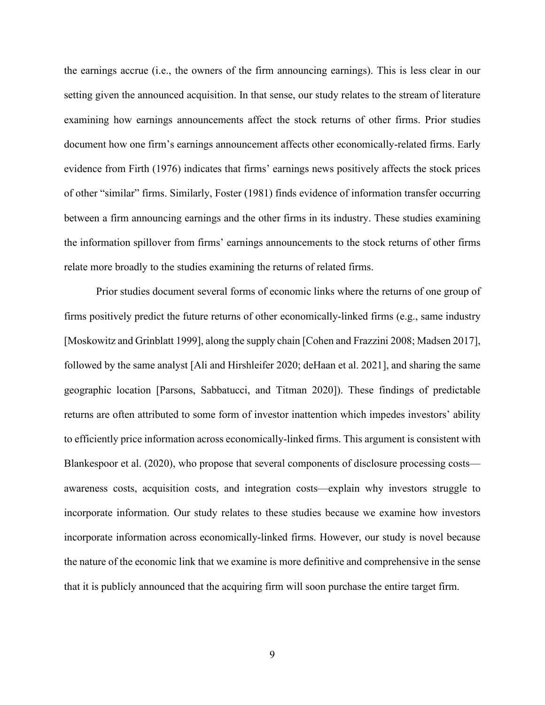the earnings accrue (i.e., the owners of the firm announcing earnings). This is less clear in our setting given the announced acquisition. In that sense, our study relates to the stream of literature examining how earnings announcements affect the stock returns of other firms. Prior studies document how one firm's earnings announcement affects other economically-related firms. Early evidence from Firth (1976) indicates that firms' earnings news positively affects the stock prices of other "similar" firms. Similarly, Foster (1981) finds evidence of information transfer occurring between a firm announcing earnings and the other firms in its industry. These studies examining the information spillover from firms' earnings announcements to the stock returns of other firms relate more broadly to the studies examining the returns of related firms.

Prior studies document several forms of economic links where the returns of one group of firms positively predict the future returns of other economically-linked firms (e.g., same industry [Moskowitz and Grinblatt 1999], along the supply chain [Cohen and Frazzini 2008; Madsen 2017], followed by the same analyst [Ali and Hirshleifer 2020; deHaan et al. 2021], and sharing the same geographic location [Parsons, Sabbatucci, and Titman 2020]). These findings of predictable returns are often attributed to some form of investor inattention which impedes investors' ability to efficiently price information across economically-linked firms. This argument is consistent with Blankespoor et al. (2020), who propose that several components of disclosure processing costs awareness costs, acquisition costs, and integration costs—explain why investors struggle to incorporate information. Our study relates to these studies because we examine how investors incorporate information across economically-linked firms. However, our study is novel because the nature of the economic link that we examine is more definitive and comprehensive in the sense that it is publicly announced that the acquiring firm will soon purchase the entire target firm.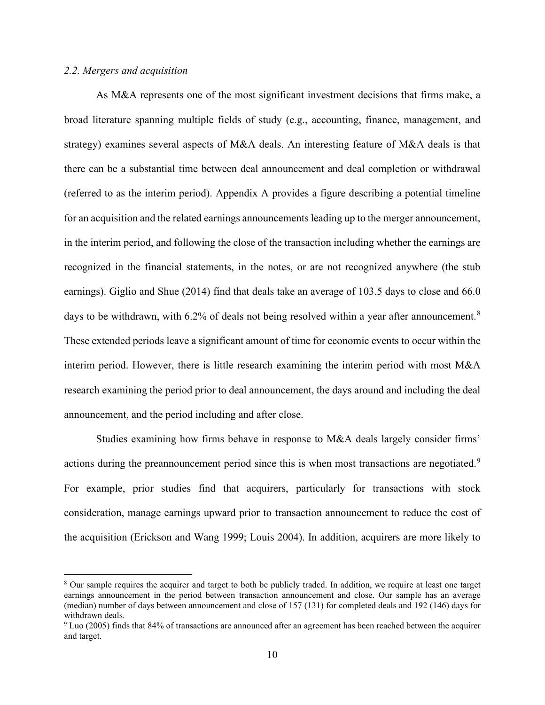## *2.2. Mergers and acquisition*

As M&A represents one of the most significant investment decisions that firms make, a broad literature spanning multiple fields of study (e.g., accounting, finance, management, and strategy) examines several aspects of M&A deals. An interesting feature of M&A deals is that there can be a substantial time between deal announcement and deal completion or withdrawal (referred to as the interim period). Appendix A provides a figure describing a potential timeline for an acquisition and the related earnings announcements leading up to the merger announcement, in the interim period, and following the close of the transaction including whether the earnings are recognized in the financial statements, in the notes, or are not recognized anywhere (the stub earnings). Giglio and Shue (2014) find that deals take an average of 103.5 days to close and 66.0 days to be withdrawn, with 6.2% of deals not being resolved within a year after announcement.<sup>8</sup> These extended periods leave a significant amount of time for economic events to occur within the interim period. However, there is little research examining the interim period with most M&A research examining the period prior to deal announcement, the days around and including the deal announcement, and the period including and after close.

Studies examining how firms behave in response to M&A deals largely consider firms' actions during the preannouncement period since this is when most transactions are negotiated.<sup>9</sup> For example, prior studies find that acquirers, particularly for transactions with stock consideration, manage earnings upward prior to transaction announcement to reduce the cost of the acquisition (Erickson and Wang 1999; Louis 2004). In addition, acquirers are more likely to

<sup>8</sup> Our sample requires the acquirer and target to both be publicly traded. In addition, we require at least one target earnings announcement in the period between transaction announcement and close. Our sample has an average (median) number of days between announcement and close of 157 (131) for completed deals and 192 (146) days for withdrawn deals.

<sup>9</sup> Luo (2005) finds that 84% of transactions are announced after an agreement has been reached between the acquirer and target.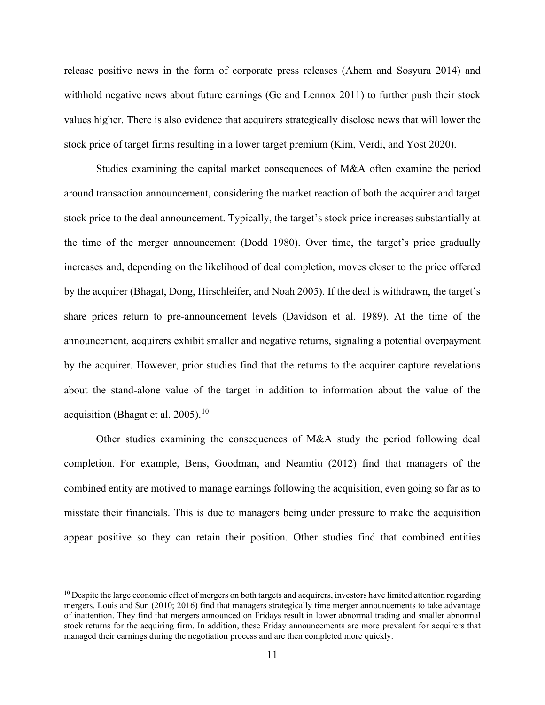release positive news in the form of corporate press releases (Ahern and Sosyura 2014) and withhold negative news about future earnings (Ge and Lennox 2011) to further push their stock values higher. There is also evidence that acquirers strategically disclose news that will lower the stock price of target firms resulting in a lower target premium (Kim, Verdi, and Yost 2020).

Studies examining the capital market consequences of M&A often examine the period around transaction announcement, considering the market reaction of both the acquirer and target stock price to the deal announcement. Typically, the target's stock price increases substantially at the time of the merger announcement (Dodd 1980). Over time, the target's price gradually increases and, depending on the likelihood of deal completion, moves closer to the price offered by the acquirer (Bhagat, Dong, Hirschleifer, and Noah 2005). If the deal is withdrawn, the target's share prices return to pre-announcement levels (Davidson et al. 1989). At the time of the announcement, acquirers exhibit smaller and negative returns, signaling a potential overpayment by the acquirer. However, prior studies find that the returns to the acquirer capture revelations about the stand-alone value of the target in addition to information about the value of the acquisition (Bhagat et al. 2005).<sup>10</sup>

Other studies examining the consequences of M&A study the period following deal completion. For example, Bens, Goodman, and Neamtiu (2012) find that managers of the combined entity are motived to manage earnings following the acquisition, even going so far as to misstate their financials. This is due to managers being under pressure to make the acquisition appear positive so they can retain their position. Other studies find that combined entities

 $10$  Despite the large economic effect of mergers on both targets and acquirers, investors have limited attention regarding mergers. Louis and Sun (2010; 2016) find that managers strategically time merger announcements to take advantage of inattention. They find that mergers announced on Fridays result in lower abnormal trading and smaller abnormal stock returns for the acquiring firm. In addition, these Friday announcements are more prevalent for acquirers that managed their earnings during the negotiation process and are then completed more quickly.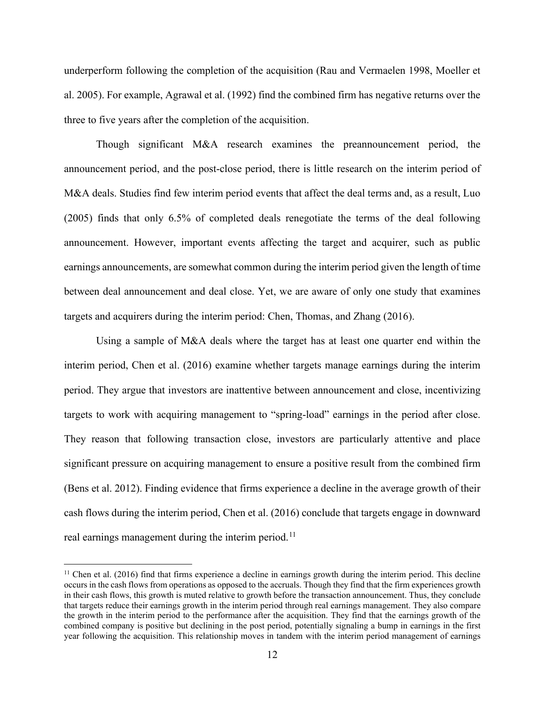underperform following the completion of the acquisition (Rau and Vermaelen 1998, Moeller et al. 2005). For example, Agrawal et al. (1992) find the combined firm has negative returns over the three to five years after the completion of the acquisition.

Though significant M&A research examines the preannouncement period, the announcement period, and the post-close period, there is little research on the interim period of M&A deals. Studies find few interim period events that affect the deal terms and, as a result, Luo (2005) finds that only 6.5% of completed deals renegotiate the terms of the deal following announcement. However, important events affecting the target and acquirer, such as public earnings announcements, are somewhat common during the interim period given the length of time between deal announcement and deal close. Yet, we are aware of only one study that examines targets and acquirers during the interim period: Chen, Thomas, and Zhang (2016).

Using a sample of M&A deals where the target has at least one quarter end within the interim period, Chen et al. (2016) examine whether targets manage earnings during the interim period. They argue that investors are inattentive between announcement and close, incentivizing targets to work with acquiring management to "spring-load" earnings in the period after close. They reason that following transaction close, investors are particularly attentive and place significant pressure on acquiring management to ensure a positive result from the combined firm (Bens et al. 2012). Finding evidence that firms experience a decline in the average growth of their cash flows during the interim period, Chen et al. (2016) conclude that targets engage in downward real earnings management during the interim period.<sup>11</sup>

 $11$  Chen et al. (2016) find that firms experience a decline in earnings growth during the interim period. This decline occurs in the cash flows from operations as opposed to the accruals. Though they find that the firm experiences growth in their cash flows, this growth is muted relative to growth before the transaction announcement. Thus, they conclude that targets reduce their earnings growth in the interim period through real earnings management. They also compare the growth in the interim period to the performance after the acquisition. They find that the earnings growth of the combined company is positive but declining in the post period, potentially signaling a bump in earnings in the first year following the acquisition. This relationship moves in tandem with the interim period management of earnings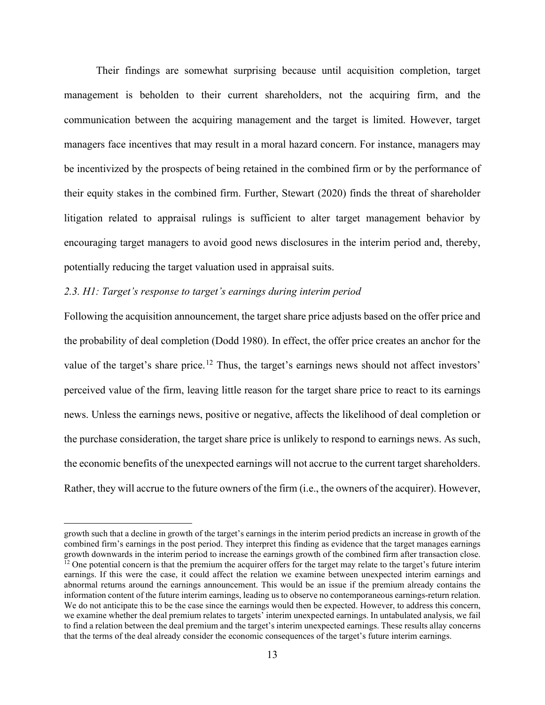Their findings are somewhat surprising because until acquisition completion, target management is beholden to their current shareholders, not the acquiring firm, and the communication between the acquiring management and the target is limited. However, target managers face incentives that may result in a moral hazard concern. For instance, managers may be incentivized by the prospects of being retained in the combined firm or by the performance of their equity stakes in the combined firm. Further, Stewart (2020) finds the threat of shareholder litigation related to appraisal rulings is sufficient to alter target management behavior by encouraging target managers to avoid good news disclosures in the interim period and, thereby, potentially reducing the target valuation used in appraisal suits.

## *2.3. H1: Target's response to target's earnings during interim period*

Following the acquisition announcement, the target share price adjusts based on the offer price and the probability of deal completion (Dodd 1980). In effect, the offer price creates an anchor for the value of the target's share price.<sup>12</sup> Thus, the target's earnings news should not affect investors' perceived value of the firm, leaving little reason for the target share price to react to its earnings news. Unless the earnings news, positive or negative, affects the likelihood of deal completion or the purchase consideration, the target share price is unlikely to respond to earnings news. As such, the economic benefits of the unexpected earnings will not accrue to the current target shareholders. Rather, they will accrue to the future owners of the firm (i.e., the owners of the acquirer). However,

growth such that a decline in growth of the target's earnings in the interim period predicts an increase in growth of the combined firm's earnings in the post period. They interpret this finding as evidence that the target manages earnings growth downwards in the interim period to increase the earnings growth of the combined firm after transaction close.  $<sup>12</sup>$  One potential concern is that the premium the acquirer offers for the target may relate to the target's future interim</sup> earnings. If this were the case, it could affect the relation we examine between unexpected interim earnings and abnormal returns around the earnings announcement. This would be an issue if the premium already contains the information content of the future interim earnings, leading us to observe no contemporaneous earnings-return relation. We do not anticipate this to be the case since the earnings would then be expected. However, to address this concern, we examine whether the deal premium relates to targets' interim unexpected earnings. In untabulated analysis, we fail to find a relation between the deal premium and the target's interim unexpected earnings. These results allay concerns that the terms of the deal already consider the economic consequences of the target's future interim earnings.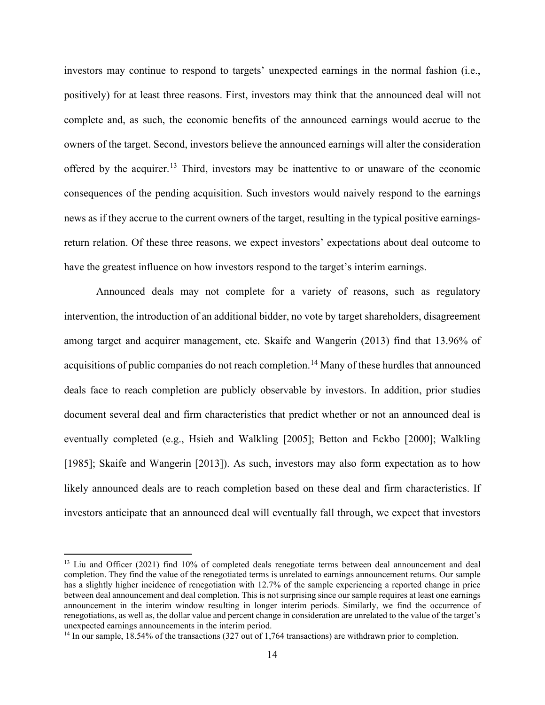investors may continue to respond to targets' unexpected earnings in the normal fashion (i.e., positively) for at least three reasons. First, investors may think that the announced deal will not complete and, as such, the economic benefits of the announced earnings would accrue to the owners of the target. Second, investors believe the announced earnings will alter the consideration offered by the acquirer.<sup>13</sup> Third, investors may be inattentive to or unaware of the economic consequences of the pending acquisition. Such investors would naively respond to the earnings news as if they accrue to the current owners of the target, resulting in the typical positive earningsreturn relation. Of these three reasons, we expect investors' expectations about deal outcome to have the greatest influence on how investors respond to the target's interim earnings.

Announced deals may not complete for a variety of reasons, such as regulatory intervention, the introduction of an additional bidder, no vote by target shareholders, disagreement among target and acquirer management, etc. Skaife and Wangerin (2013) find that 13.96% of acquisitions of public companies do not reach completion.<sup>14</sup> Many of these hurdles that announced deals face to reach completion are publicly observable by investors. In addition, prior studies document several deal and firm characteristics that predict whether or not an announced deal is eventually completed (e.g., Hsieh and Walkling [2005]; Betton and Eckbo [2000]; Walkling [1985]; Skaife and Wangerin [2013]). As such, investors may also form expectation as to how likely announced deals are to reach completion based on these deal and firm characteristics. If investors anticipate that an announced deal will eventually fall through, we expect that investors

<sup>&</sup>lt;sup>13</sup> Liu and Officer (2021) find 10% of completed deals renegotiate terms between deal announcement and deal completion. They find the value of the renegotiated terms is unrelated to earnings announcement returns. Our sample has a slightly higher incidence of renegotiation with 12.7% of the sample experiencing a reported change in price between deal announcement and deal completion. This is not surprising since our sample requires at least one earnings announcement in the interim window resulting in longer interim periods. Similarly, we find the occurrence of renegotiations, as well as, the dollar value and percent change in consideration are unrelated to the value of the target's unexpected earnings announcements in the interim period.

<sup>&</sup>lt;sup>14</sup> In our sample, 18.54% of the transactions (327 out of 1,764 transactions) are withdrawn prior to completion.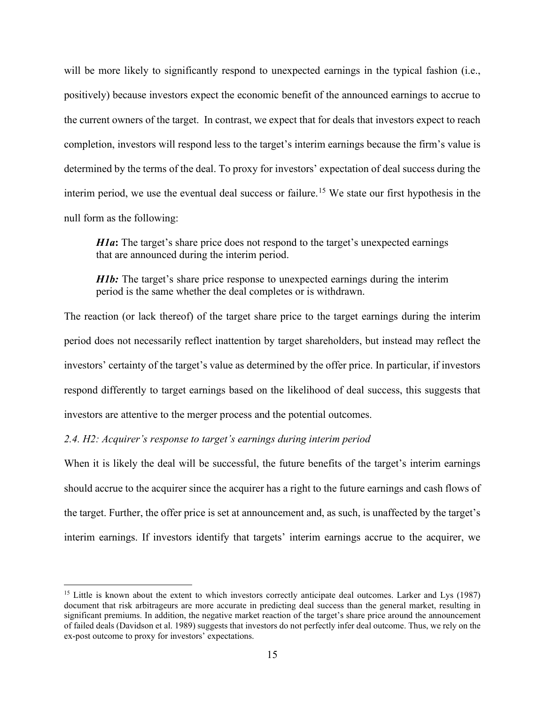will be more likely to significantly respond to unexpected earnings in the typical fashion (i.e., positively) because investors expect the economic benefit of the announced earnings to accrue to the current owners of the target. In contrast, we expect that for deals that investors expect to reach completion, investors will respond less to the target's interim earnings because the firm's value is determined by the terms of the deal. To proxy for investors' expectation of deal success during the interim period, we use the eventual deal success or failure.<sup>15</sup> We state our first hypothesis in the null form as the following:

*H1a*: The target's share price does not respond to the target's unexpected earnings that are announced during the interim period.

*H1b*: The target's share price response to unexpected earnings during the interim period is the same whether the deal completes or is withdrawn.

The reaction (or lack thereof) of the target share price to the target earnings during the interim period does not necessarily reflect inattention by target shareholders, but instead may reflect the investors' certainty of the target's value as determined by the offer price. In particular, if investors respond differently to target earnings based on the likelihood of deal success, this suggests that investors are attentive to the merger process and the potential outcomes.

*2.4. H2: Acquirer's response to target's earnings during interim period*

When it is likely the deal will be successful, the future benefits of the target's interim earnings should accrue to the acquirer since the acquirer has a right to the future earnings and cash flows of the target. Further, the offer price is set at announcement and, as such, is unaffected by the target's interim earnings. If investors identify that targets' interim earnings accrue to the acquirer, we

<sup>&</sup>lt;sup>15</sup> Little is known about the extent to which investors correctly anticipate deal outcomes. Larker and Lys (1987) document that risk arbitrageurs are more accurate in predicting deal success than the general market, resulting in significant premiums. In addition, the negative market reaction of the target's share price around the announcement of failed deals (Davidson et al. 1989) suggests that investors do not perfectly infer deal outcome. Thus, we rely on the ex-post outcome to proxy for investors' expectations.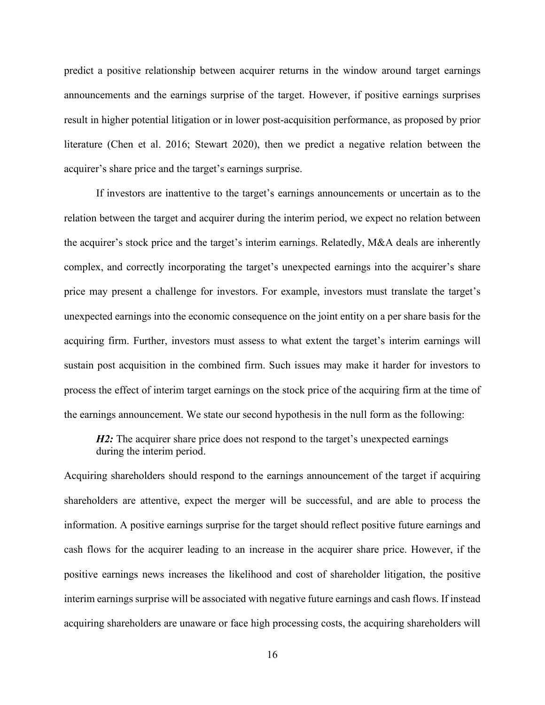predict a positive relationship between acquirer returns in the window around target earnings announcements and the earnings surprise of the target. However, if positive earnings surprises result in higher potential litigation or in lower post-acquisition performance, as proposed by prior literature (Chen et al. 2016; Stewart 2020), then we predict a negative relation between the acquirer's share price and the target's earnings surprise.

If investors are inattentive to the target's earnings announcements or uncertain as to the relation between the target and acquirer during the interim period, we expect no relation between the acquirer's stock price and the target's interim earnings. Relatedly, M&A deals are inherently complex, and correctly incorporating the target's unexpected earnings into the acquirer's share price may present a challenge for investors. For example, investors must translate the target's unexpected earnings into the economic consequence on the joint entity on a per share basis for the acquiring firm. Further, investors must assess to what extent the target's interim earnings will sustain post acquisition in the combined firm. Such issues may make it harder for investors to process the effect of interim target earnings on the stock price of the acquiring firm at the time of the earnings announcement. We state our second hypothesis in the null form as the following:

*H2*: The acquirer share price does not respond to the target's unexpected earnings during the interim period.

Acquiring shareholders should respond to the earnings announcement of the target if acquiring shareholders are attentive, expect the merger will be successful, and are able to process the information. A positive earnings surprise for the target should reflect positive future earnings and cash flows for the acquirer leading to an increase in the acquirer share price. However, if the positive earnings news increases the likelihood and cost of shareholder litigation, the positive interim earnings surprise will be associated with negative future earnings and cash flows. If instead acquiring shareholders are unaware or face high processing costs, the acquiring shareholders will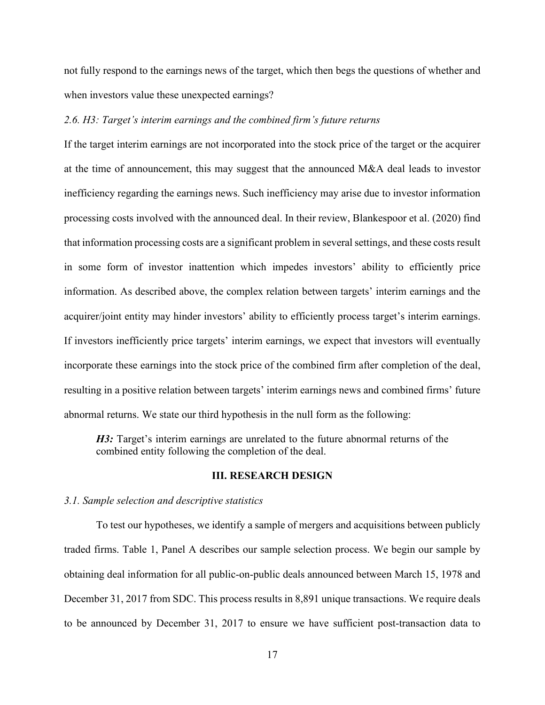not fully respond to the earnings news of the target, which then begs the questions of whether and when investors value these unexpected earnings?

#### *2.6. H3: Target's interim earnings and the combined firm's future returns*

If the target interim earnings are not incorporated into the stock price of the target or the acquirer at the time of announcement, this may suggest that the announced M&A deal leads to investor inefficiency regarding the earnings news. Such inefficiency may arise due to investor information processing costs involved with the announced deal. In their review, Blankespoor et al. (2020) find that information processing costs are a significant problem in several settings, and these costs result in some form of investor inattention which impedes investors' ability to efficiently price information. As described above, the complex relation between targets' interim earnings and the acquirer/joint entity may hinder investors' ability to efficiently process target's interim earnings. If investors inefficiently price targets' interim earnings, we expect that investors will eventually incorporate these earnings into the stock price of the combined firm after completion of the deal, resulting in a positive relation between targets' interim earnings news and combined firms' future abnormal returns. We state our third hypothesis in the null form as the following:

*H3*: Target's interim earnings are unrelated to the future abnormal returns of the combined entity following the completion of the deal.

## **III. RESEARCH DESIGN**

### *3.1. Sample selection and descriptive statistics*

To test our hypotheses, we identify a sample of mergers and acquisitions between publicly traded firms. Table 1, Panel A describes our sample selection process. We begin our sample by obtaining deal information for all public-on-public deals announced between March 15, 1978 and December 31, 2017 from SDC. This process results in 8,891 unique transactions. We require deals to be announced by December 31, 2017 to ensure we have sufficient post-transaction data to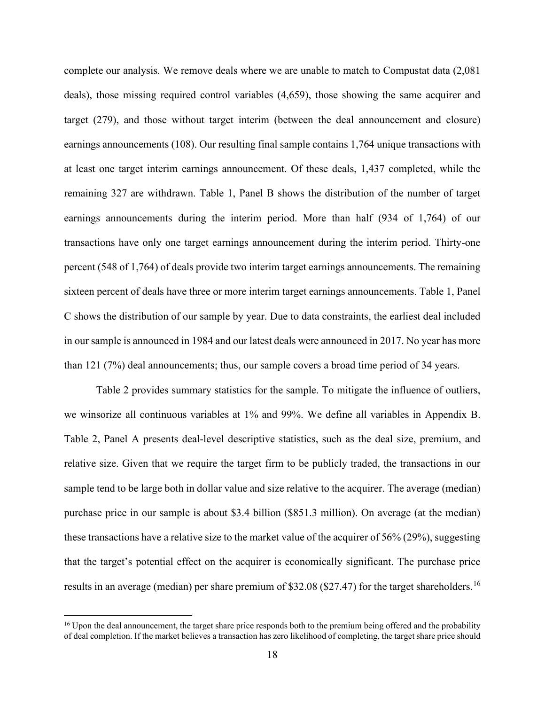complete our analysis. We remove deals where we are unable to match to Compustat data (2,081 deals), those missing required control variables (4,659), those showing the same acquirer and target (279), and those without target interim (between the deal announcement and closure) earnings announcements (108). Our resulting final sample contains 1,764 unique transactions with at least one target interim earnings announcement. Of these deals, 1,437 completed, while the remaining 327 are withdrawn. Table 1, Panel B shows the distribution of the number of target earnings announcements during the interim period. More than half (934 of 1,764) of our transactions have only one target earnings announcement during the interim period. Thirty-one percent (548 of 1,764) of deals provide two interim target earnings announcements. The remaining sixteen percent of deals have three or more interim target earnings announcements. Table 1, Panel C shows the distribution of our sample by year. Due to data constraints, the earliest deal included in our sample is announced in 1984 and our latest deals were announced in 2017. No year has more than 121 (7%) deal announcements; thus, our sample covers a broad time period of 34 years.

Table 2 provides summary statistics for the sample. To mitigate the influence of outliers, we winsorize all continuous variables at 1% and 99%. We define all variables in Appendix B. Table 2, Panel A presents deal-level descriptive statistics, such as the deal size, premium, and relative size. Given that we require the target firm to be publicly traded, the transactions in our sample tend to be large both in dollar value and size relative to the acquirer. The average (median) purchase price in our sample is about \$3.4 billion (\$851.3 million). On average (at the median) these transactions have a relative size to the market value of the acquirer of 56% (29%), suggesting that the target's potential effect on the acquirer is economically significant. The purchase price results in an average (median) per share premium of \$32.08 (\$27.47) for the target shareholders.<sup>16</sup>

<sup>&</sup>lt;sup>16</sup> Upon the deal announcement, the target share price responds both to the premium being offered and the probability of deal completion. If the market believes a transaction has zero likelihood of completing, the target share price should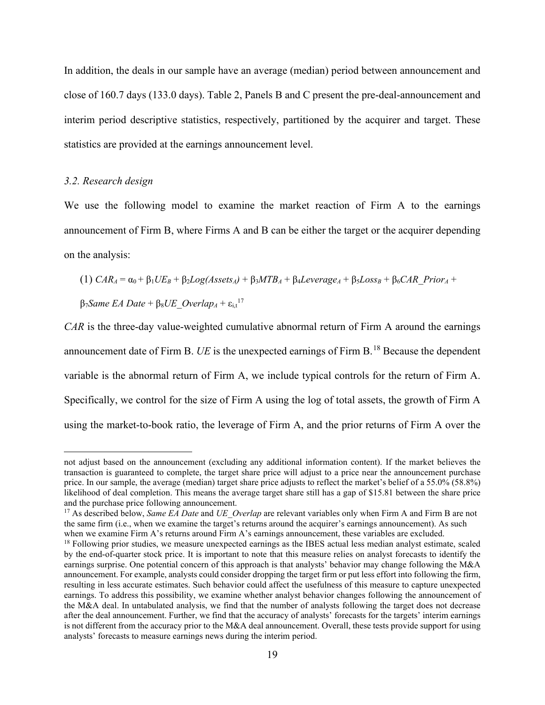In addition, the deals in our sample have an average (median) period between announcement and close of 160.7 days (133.0 days). Table 2, Panels B and C present the pre-deal-announcement and interim period descriptive statistics, respectively, partitioned by the acquirer and target. These statistics are provided at the earnings announcement level.

## *3.2. Research design*

We use the following model to examine the market reaction of Firm A to the earnings announcement of Firm B, where Firms A and B can be either the target or the acquirer depending on the analysis:

$$
(1) CARA = \alpha_0 + \beta_1 U E_B + \beta_2 Log(Assets_A) + \beta_3 M T B_A + \beta_4 Leverage_A + \beta_5 Loss_B + \beta_6 CAR\_Prior_A +
$$

 $β_7$ *Same EA Date* +  $β_8$ *UE\_Overlap<sub>A</sub>* +  $ε_{i,t}$ <sup>17</sup>

*CAR* is the three-day value-weighted cumulative abnormal return of Firm A around the earnings announcement date of Firm B. *UE* is the unexpected earnings of Firm B.<sup>18</sup> Because the dependent variable is the abnormal return of Firm A, we include typical controls for the return of Firm A. Specifically, we control for the size of Firm A using the log of total assets, the growth of Firm A using the market-to-book ratio, the leverage of Firm A, and the prior returns of Firm A over the

not adjust based on the announcement (excluding any additional information content). If the market believes the transaction is guaranteed to complete, the target share price will adjust to a price near the announcement purchase price. In our sample, the average (median) target share price adjusts to reflect the market's belief of a 55.0% (58.8%) likelihood of deal completion. This means the average target share still has a gap of \$15.81 between the share price and the purchase price following announcement.

<sup>&</sup>lt;sup>17</sup> As described below, *Same EA Date* and *UE\_Overlap* are relevant variables only when Firm A and Firm B are not the same firm (i.e., when we examine the target's returns around the acquirer's earnings announcement). As such when we examine Firm A's returns around Firm A's earnings announcement, these variables are excluded.

<sup>&</sup>lt;sup>18</sup> Following prior studies, we measure unexpected earnings as the IBES actual less median analyst estimate, scaled by the end-of-quarter stock price. It is important to note that this measure relies on analyst forecasts to identify the earnings surprise. One potential concern of this approach is that analysts' behavior may change following the M&A announcement. For example, analysts could consider dropping the target firm or put less effort into following the firm, resulting in less accurate estimates. Such behavior could affect the usefulness of this measure to capture unexpected earnings. To address this possibility, we examine whether analyst behavior changes following the announcement of the M&A deal. In untabulated analysis, we find that the number of analysts following the target does not decrease after the deal announcement. Further, we find that the accuracy of analysts' forecasts for the targets' interim earnings is not different from the accuracy prior to the M&A deal announcement. Overall, these tests provide support for using analysts' forecasts to measure earnings news during the interim period.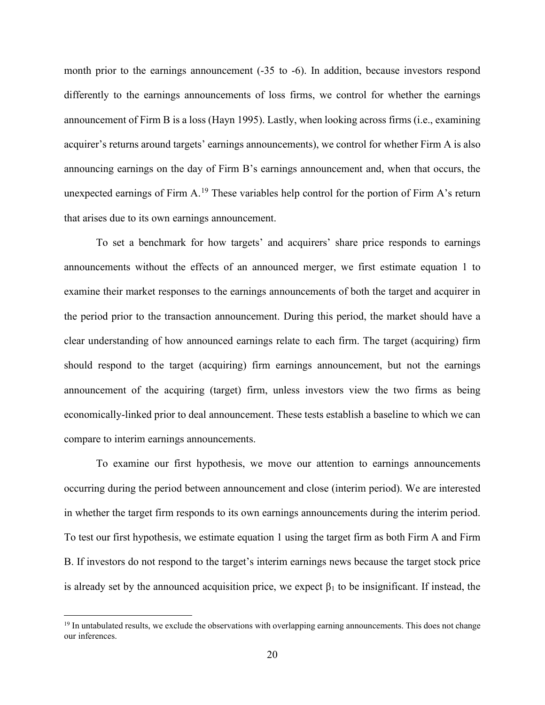month prior to the earnings announcement (-35 to -6). In addition, because investors respond differently to the earnings announcements of loss firms, we control for whether the earnings announcement of Firm B is a loss (Hayn 1995). Lastly, when looking across firms (i.e., examining acquirer's returns around targets' earnings announcements), we control for whether Firm A is also announcing earnings on the day of Firm B's earnings announcement and, when that occurs, the unexpected earnings of Firm  $A<sup>19</sup>$ . These variables help control for the portion of Firm A's return that arises due to its own earnings announcement.

To set a benchmark for how targets' and acquirers' share price responds to earnings announcements without the effects of an announced merger, we first estimate equation 1 to examine their market responses to the earnings announcements of both the target and acquirer in the period prior to the transaction announcement. During this period, the market should have a clear understanding of how announced earnings relate to each firm. The target (acquiring) firm should respond to the target (acquiring) firm earnings announcement, but not the earnings announcement of the acquiring (target) firm, unless investors view the two firms as being economically-linked prior to deal announcement. These tests establish a baseline to which we can compare to interim earnings announcements.

To examine our first hypothesis, we move our attention to earnings announcements occurring during the period between announcement and close (interim period). We are interested in whether the target firm responds to its own earnings announcements during the interim period. To test our first hypothesis, we estimate equation 1 using the target firm as both Firm A and Firm B. If investors do not respond to the target's interim earnings news because the target stock price is already set by the announced acquisition price, we expect  $\beta_1$  to be insignificant. If instead, the

<sup>&</sup>lt;sup>19</sup> In untabulated results, we exclude the observations with overlapping earning announcements. This does not change our inferences.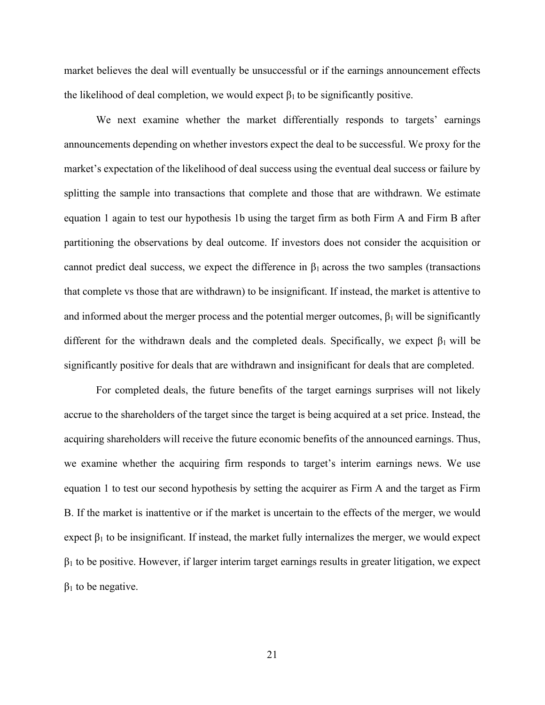market believes the deal will eventually be unsuccessful or if the earnings announcement effects the likelihood of deal completion, we would expect  $\beta_1$  to be significantly positive.

We next examine whether the market differentially responds to targets' earnings announcements depending on whether investors expect the deal to be successful. We proxy for the market's expectation of the likelihood of deal success using the eventual deal success or failure by splitting the sample into transactions that complete and those that are withdrawn. We estimate equation 1 again to test our hypothesis 1b using the target firm as both Firm A and Firm B after partitioning the observations by deal outcome. If investors does not consider the acquisition or cannot predict deal success, we expect the difference in  $\beta_1$  across the two samples (transactions that complete vs those that are withdrawn) to be insignificant. If instead, the market is attentive to and informed about the merger process and the potential merger outcomes,  $\beta_1$  will be significantly different for the withdrawn deals and the completed deals. Specifically, we expect  $\beta_1$  will be significantly positive for deals that are withdrawn and insignificant for deals that are completed.

For completed deals, the future benefits of the target earnings surprises will not likely accrue to the shareholders of the target since the target is being acquired at a set price. Instead, the acquiring shareholders will receive the future economic benefits of the announced earnings. Thus, we examine whether the acquiring firm responds to target's interim earnings news. We use equation 1 to test our second hypothesis by setting the acquirer as Firm A and the target as Firm B. If the market is inattentive or if the market is uncertain to the effects of the merger, we would expect  $\beta_1$  to be insignificant. If instead, the market fully internalizes the merger, we would expect  $\beta_1$  to be positive. However, if larger interim target earnings results in greater litigation, we expect  $β<sub>1</sub>$  to be negative.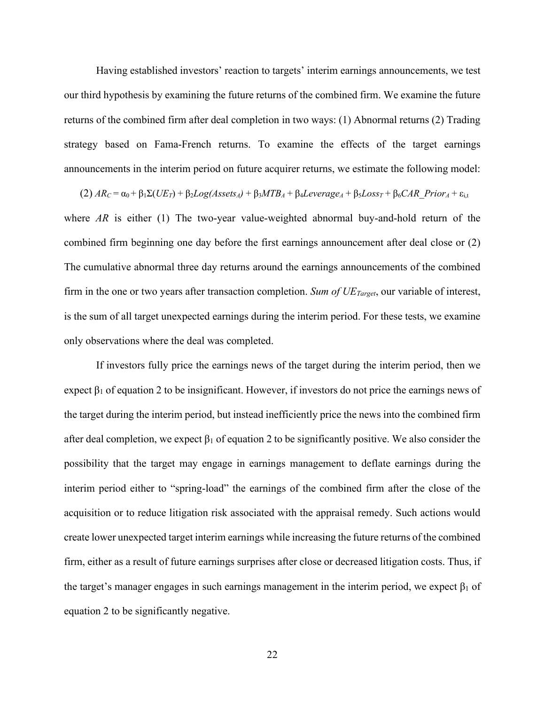Having established investors' reaction to targets' interim earnings announcements, we test our third hypothesis by examining the future returns of the combined firm. We examine the future returns of the combined firm after deal completion in two ways: (1) Abnormal returns (2) Trading strategy based on Fama-French returns. To examine the effects of the target earnings announcements in the interim period on future acquirer returns, we estimate the following model:

 $(2)$  *AR<sub>C</sub>* =  $\alpha_0$  +  $\beta_1\Sigma(UE_T)$  +  $\beta_2Log(Assets_A)$  +  $\beta_3MTB_A$  +  $\beta_4Leverage_A$  +  $\beta_5Loss_T$  +  $\beta_6CAR$  Prior<sub>A</sub> +  $\varepsilon_{i,t}$ where *AR* is either (1) The two-year value-weighted abnormal buy-and-hold return of the combined firm beginning one day before the first earnings announcement after deal close or (2) The cumulative abnormal three day returns around the earnings announcements of the combined firm in the one or two years after transaction completion. *Sum of UE<sub>Target*</sub>, our variable of interest, is the sum of all target unexpected earnings during the interim period. For these tests, we examine only observations where the deal was completed.

If investors fully price the earnings news of the target during the interim period, then we expect  $\beta_1$  of equation 2 to be insignificant. However, if investors do not price the earnings news of the target during the interim period, but instead inefficiently price the news into the combined firm after deal completion, we expect  $\beta_1$  of equation 2 to be significantly positive. We also consider the possibility that the target may engage in earnings management to deflate earnings during the interim period either to "spring-load" the earnings of the combined firm after the close of the acquisition or to reduce litigation risk associated with the appraisal remedy. Such actions would create lower unexpected target interim earnings while increasing the future returns of the combined firm, either as a result of future earnings surprises after close or decreased litigation costs. Thus, if the target's manager engages in such earnings management in the interim period, we expect  $\beta_1$  of equation 2 to be significantly negative.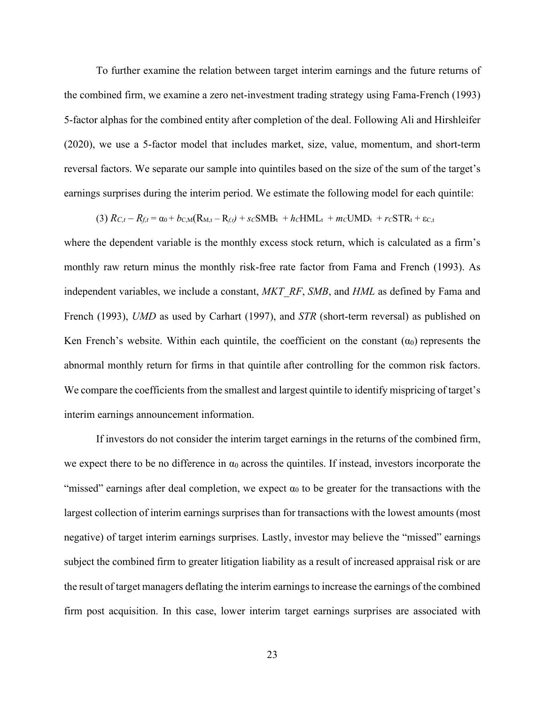To further examine the relation between target interim earnings and the future returns of the combined firm, we examine a zero net-investment trading strategy using Fama-French (1993) 5-factor alphas for the combined entity after completion of the deal. Following Ali and Hirshleifer (2020), we use a 5-factor model that includes market, size, value, momentum, and short-term reversal factors. We separate our sample into quintiles based on the size of the sum of the target's earnings surprises during the interim period. We estimate the following model for each quintile:

$$
(3) R_{C,t} - R_{f,t} = \alpha_0 + b_{C,M}(R_{M,t} - R_{f,t}) + s_C SMB_t + h_c HML_t + m_c UMD_t + r_C STR_t + \varepsilon_{C,t}
$$

where the dependent variable is the monthly excess stock return, which is calculated as a firm's monthly raw return minus the monthly risk-free rate factor from Fama and French (1993). As independent variables, we include a constant, *MKT\_RF*, *SMB*, and *HML* as defined by Fama and French (1993), *UMD* as used by Carhart (1997), and *STR* (short-term reversal) as published on Ken French's website. Within each quintile, the coefficient on the constant  $(\alpha_0)$  represents the abnormal monthly return for firms in that quintile after controlling for the common risk factors. We compare the coefficients from the smallest and largest quintile to identify mispricing of target's interim earnings announcement information.

If investors do not consider the interim target earnings in the returns of the combined firm, we expect there to be no difference in  $\alpha_0$  across the quintiles. If instead, investors incorporate the "missed" earnings after deal completion, we expect  $\alpha_0$  to be greater for the transactions with the largest collection of interim earnings surprises than for transactions with the lowest amounts (most negative) of target interim earnings surprises. Lastly, investor may believe the "missed" earnings subject the combined firm to greater litigation liability as a result of increased appraisal risk or are the result of target managers deflating the interim earnings to increase the earnings of the combined firm post acquisition. In this case, lower interim target earnings surprises are associated with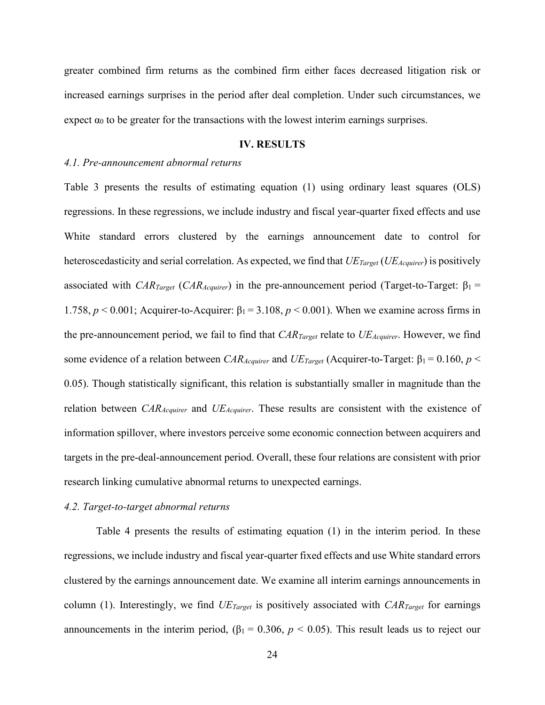greater combined firm returns as the combined firm either faces decreased litigation risk or increased earnings surprises in the period after deal completion. Under such circumstances, we expect  $\alpha_0$  to be greater for the transactions with the lowest interim earnings surprises.

### **IV. RESULTS**

#### *4.1. Pre-announcement abnormal returns*

Table 3 presents the results of estimating equation (1) using ordinary least squares (OLS) regressions. In these regressions, we include industry and fiscal year-quarter fixed effects and use White standard errors clustered by the earnings announcement date to control for heteroscedasticity and serial correlation. As expected, we find that *UE<sub>Target</sub>* (*UE<sub>Acquirer*) is positively</sub> associated with *CAR<sub>Target</sub>* (*CAR<sub>Acquirer*) in the pre-announcement period (Target-to-Target: β<sub>1</sub> =</sub> 1.758,  $p < 0.001$ ; Acquirer-to-Acquirer: β<sub>1</sub> = 3.108,  $p < 0.001$ ). When we examine across firms in the pre-announcement period, we fail to find that *CAR<sub>Target</sub>* relate to *UE<sub>Acquirer</sub>*. However, we find some evidence of a relation between *CAR<sub>Acquirer</sub>* and *UE<sub>Target</sub>* (Acquirer-to-Target: β<sub>1</sub> = 0.160, *p* < 0.05). Though statistically significant, this relation is substantially smaller in magnitude than the relation between *CAR<sub>Acquirer</sub>* and *UE<sub>Acquirer*. These results are consistent with the existence of</sub> information spillover, where investors perceive some economic connection between acquirers and targets in the pre-deal-announcement period. Overall, these four relations are consistent with prior research linking cumulative abnormal returns to unexpected earnings.

### *4.2. Target-to-target abnormal returns*

Table 4 presents the results of estimating equation (1) in the interim period. In these regressions, we include industry and fiscal year-quarter fixed effects and use White standard errors clustered by the earnings announcement date. We examine all interim earnings announcements in column (1). Interestingly, we find *UE<sub>Target</sub>* is positively associated with *CAR<sub>Target</sub>* for earnings announcements in the interim period,  $(\beta_1 = 0.306, p < 0.05)$ . This result leads us to reject our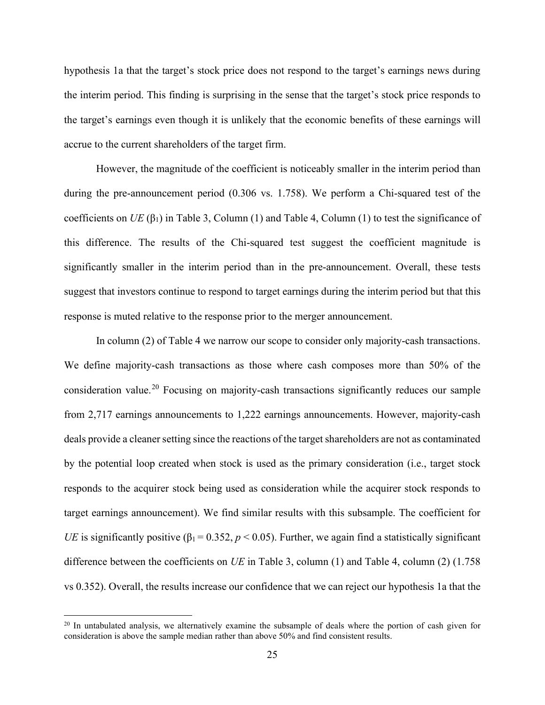hypothesis 1a that the target's stock price does not respond to the target's earnings news during the interim period. This finding is surprising in the sense that the target's stock price responds to the target's earnings even though it is unlikely that the economic benefits of these earnings will accrue to the current shareholders of the target firm.

However, the magnitude of the coefficient is noticeably smaller in the interim period than during the pre-announcement period (0.306 vs. 1.758). We perform a Chi-squared test of the coefficients on *UE* ( $\beta_1$ ) in Table 3, Column (1) and Table 4, Column (1) to test the significance of this difference. The results of the Chi-squared test suggest the coefficient magnitude is significantly smaller in the interim period than in the pre-announcement. Overall, these tests suggest that investors continue to respond to target earnings during the interim period but that this response is muted relative to the response prior to the merger announcement.

In column (2) of Table 4 we narrow our scope to consider only majority-cash transactions. We define majority-cash transactions as those where cash composes more than 50% of the consideration value.<sup>20</sup> Focusing on majority-cash transactions significantly reduces our sample from 2,717 earnings announcements to 1,222 earnings announcements. However, majority-cash deals provide a cleaner setting since the reactions of the target shareholders are not as contaminated by the potential loop created when stock is used as the primary consideration (i.e., target stock responds to the acquirer stock being used as consideration while the acquirer stock responds to target earnings announcement). We find similar results with this subsample. The coefficient for *UE* is significantly positive ( $\beta_1 = 0.352$ ,  $p < 0.05$ ). Further, we again find a statistically significant difference between the coefficients on *UE* in Table 3, column (1) and Table 4, column (2) (1.758 vs 0.352). Overall, the results increase our confidence that we can reject our hypothesis 1a that the

<sup>&</sup>lt;sup>20</sup> In untabulated analysis, we alternatively examine the subsample of deals where the portion of cash given for consideration is above the sample median rather than above 50% and find consistent results.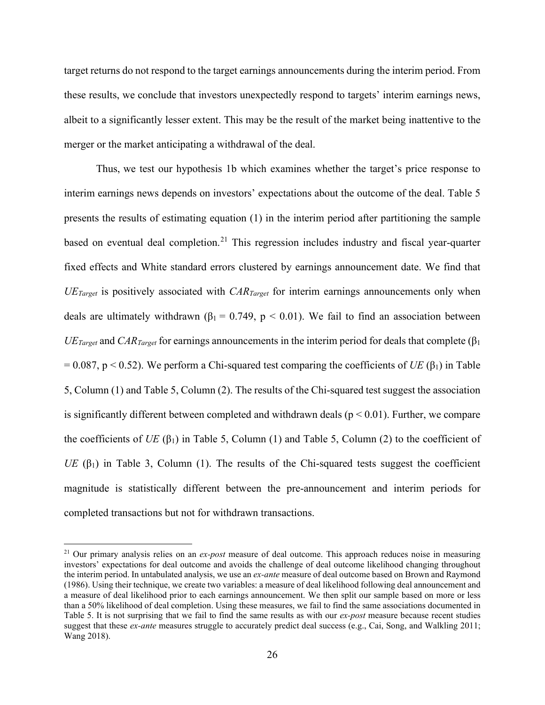target returns do not respond to the target earnings announcements during the interim period. From these results, we conclude that investors unexpectedly respond to targets' interim earnings news, albeit to a significantly lesser extent. This may be the result of the market being inattentive to the merger or the market anticipating a withdrawal of the deal.

Thus, we test our hypothesis 1b which examines whether the target's price response to interim earnings news depends on investors' expectations about the outcome of the deal. Table 5 presents the results of estimating equation (1) in the interim period after partitioning the sample based on eventual deal completion.<sup>21</sup> This regression includes industry and fiscal year-quarter fixed effects and White standard errors clustered by earnings announcement date. We find that *UETarget* is positively associated with *CARTarget* for interim earnings announcements only when deals are ultimately withdrawn ( $\beta_1 = 0.749$ ,  $p < 0.01$ ). We fail to find an association between  *and <i>CAR<sub>Target</sub>* for earnings announcements in the interim period for deals that complete ( $\beta_1$ )  $= 0.087$ , p  $\le 0.52$ ). We perform a Chi-squared test comparing the coefficients of *UE* ( $\beta_1$ ) in Table 5, Column (1) and Table 5, Column (2). The results of the Chi-squared test suggest the association is significantly different between completed and withdrawn deals ( $p < 0.01$ ). Further, we compare the coefficients of *UE* ( $\beta_1$ ) in Table 5, Column (1) and Table 5, Column (2) to the coefficient of *UE* ( $β<sub>1</sub>$ ) in Table 3, Column (1). The results of the Chi-squared tests suggest the coefficient magnitude is statistically different between the pre-announcement and interim periods for completed transactions but not for withdrawn transactions.

<sup>21</sup> Our primary analysis relies on an *ex-post* measure of deal outcome. This approach reduces noise in measuring investors' expectations for deal outcome and avoids the challenge of deal outcome likelihood changing throughout the interim period. In untabulated analysis, we use an *ex-ante* measure of deal outcome based on Brown and Raymond (1986). Using their technique, we create two variables: a measure of deal likelihood following deal announcement and a measure of deal likelihood prior to each earnings announcement. We then split our sample based on more or less than a 50% likelihood of deal completion. Using these measures, we fail to find the same associations documented in Table 5. It is not surprising that we fail to find the same results as with our *ex-post* measure because recent studies suggest that these *ex-ante* measures struggle to accurately predict deal success (e.g., Cai, Song, and Walkling 2011; Wang 2018).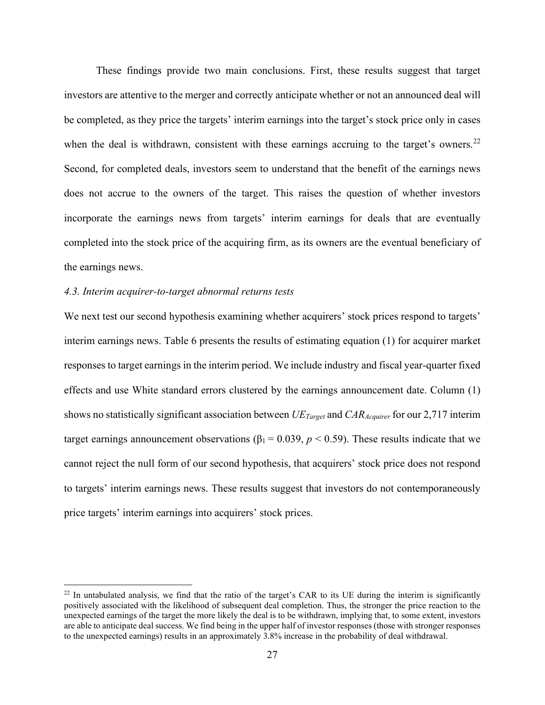These findings provide two main conclusions. First, these results suggest that target investors are attentive to the merger and correctly anticipate whether or not an announced deal will be completed, as they price the targets' interim earnings into the target's stock price only in cases when the deal is withdrawn, consistent with these earnings accruing to the target's owners.<sup>22</sup> Second, for completed deals, investors seem to understand that the benefit of the earnings news does not accrue to the owners of the target. This raises the question of whether investors incorporate the earnings news from targets' interim earnings for deals that are eventually completed into the stock price of the acquiring firm, as its owners are the eventual beneficiary of the earnings news.

#### *4.3. Interim acquirer-to-target abnormal returns tests*

We next test our second hypothesis examining whether acquirers' stock prices respond to targets' interim earnings news. Table 6 presents the results of estimating equation (1) for acquirer market responses to target earnings in the interim period. We include industry and fiscal year-quarter fixed effects and use White standard errors clustered by the earnings announcement date. Column (1) shows no statistically significant association between *UETarget* and *CARAcquirer* for our 2,717 interim target earnings announcement observations ( $\beta_1 = 0.039$ ,  $p < 0.59$ ). These results indicate that we cannot reject the null form of our second hypothesis, that acquirers' stock price does not respond to targets' interim earnings news. These results suggest that investors do not contemporaneously price targets' interim earnings into acquirers' stock prices.

 $^{22}$  In untabulated analysis, we find that the ratio of the target's CAR to its UE during the interim is significantly positively associated with the likelihood of subsequent deal completion. Thus, the stronger the price reaction to the unexpected earnings of the target the more likely the deal is to be withdrawn, implying that, to some extent, investors are able to anticipate deal success. We find being in the upper half of investor responses (those with stronger responses to the unexpected earnings) results in an approximately 3.8% increase in the probability of deal withdrawal.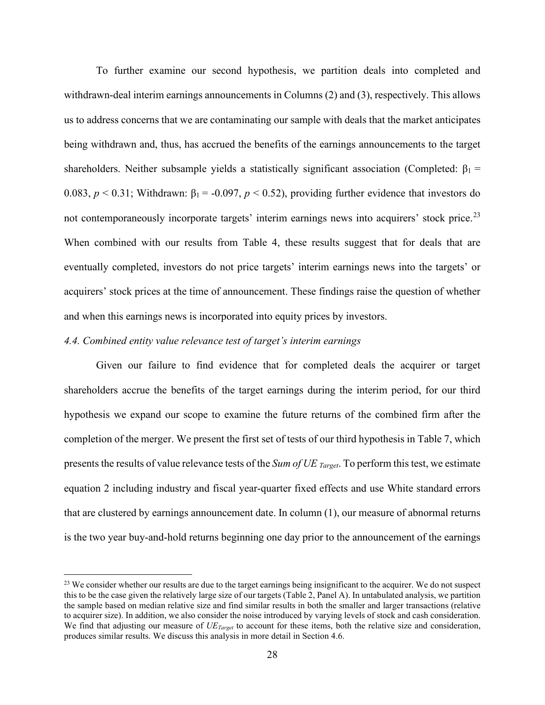To further examine our second hypothesis, we partition deals into completed and withdrawn-deal interim earnings announcements in Columns (2) and (3), respectively. This allows us to address concerns that we are contaminating our sample with deals that the market anticipates being withdrawn and, thus, has accrued the benefits of the earnings announcements to the target shareholders. Neither subsample yields a statistically significant association (Completed:  $\beta_1$  = 0.083,  $p < 0.31$ ; Withdrawn:  $\beta_1 = -0.097$ ,  $p < 0.52$ ), providing further evidence that investors do not contemporaneously incorporate targets' interim earnings news into acquirers' stock price.<sup>23</sup> When combined with our results from Table 4, these results suggest that for deals that are eventually completed, investors do not price targets' interim earnings news into the targets' or acquirers' stock prices at the time of announcement. These findings raise the question of whether and when this earnings news is incorporated into equity prices by investors.

## *4.4. Combined entity value relevance test of target's interim earnings*

Given our failure to find evidence that for completed deals the acquirer or target shareholders accrue the benefits of the target earnings during the interim period, for our third hypothesis we expand our scope to examine the future returns of the combined firm after the completion of the merger. We present the first set of tests of our third hypothesis in Table 7, which presents the results of value relevance tests of the *Sum of UE Target*. To perform this test, we estimate equation 2 including industry and fiscal year-quarter fixed effects and use White standard errors that are clustered by earnings announcement date. In column (1), our measure of abnormal returns is the two year buy-and-hold returns beginning one day prior to the announcement of the earnings

 $23$  We consider whether our results are due to the target earnings being insignificant to the acquirer. We do not suspect this to be the case given the relatively large size of our targets (Table 2, Panel A). In untabulated analysis, we partition the sample based on median relative size and find similar results in both the smaller and larger transactions (relative to acquirer size). In addition, we also consider the noise introduced by varying levels of stock and cash consideration. We find that adjusting our measure of *UETarget* to account for these items, both the relative size and consideration, produces similar results. We discuss this analysis in more detail in Section 4.6.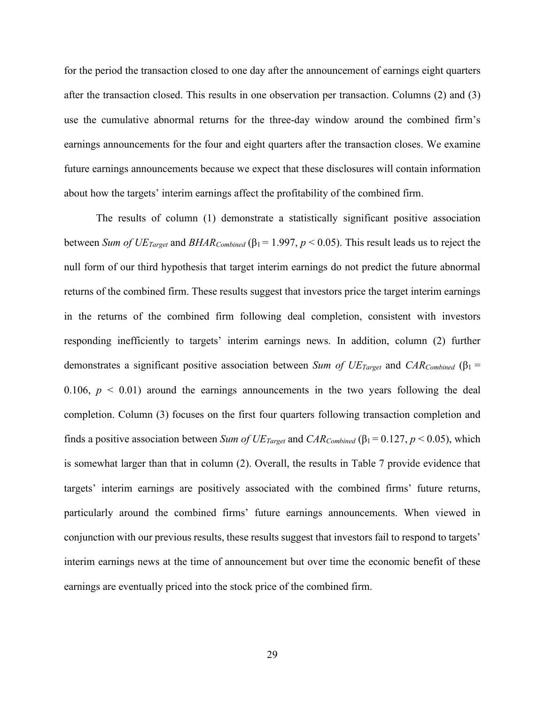for the period the transaction closed to one day after the announcement of earnings eight quarters after the transaction closed. This results in one observation per transaction. Columns (2) and (3) use the cumulative abnormal returns for the three-day window around the combined firm's earnings announcements for the four and eight quarters after the transaction closes. We examine future earnings announcements because we expect that these disclosures will contain information about how the targets' interim earnings affect the profitability of the combined firm.

The results of column (1) demonstrate a statistically significant positive association between *Sum of*  $UE_{Target}$  and  $BHAR_{Combined}$  ( $\beta_1 = 1.997, p < 0.05$ ). This result leads us to reject the null form of our third hypothesis that target interim earnings do not predict the future abnormal returns of the combined firm. These results suggest that investors price the target interim earnings in the returns of the combined firm following deal completion, consistent with investors responding inefficiently to targets' interim earnings news. In addition, column (2) further demonstrates a significant positive association between *Sum of UE<sub>Target</sub>* and *CAR<sub>Combined</sub>* (β<sub>1</sub> = 0.106,  $p < 0.01$ ) around the earnings announcements in the two years following the deal completion. Column (3) focuses on the first four quarters following transaction completion and finds a positive association between *Sum of UE Target* and *CAR Combined* ( $\beta_1 = 0.127$ ,  $p < 0.05$ ), which is somewhat larger than that in column (2). Overall, the results in Table 7 provide evidence that targets' interim earnings are positively associated with the combined firms' future returns, particularly around the combined firms' future earnings announcements. When viewed in conjunction with our previous results, these results suggest that investors fail to respond to targets' interim earnings news at the time of announcement but over time the economic benefit of these earnings are eventually priced into the stock price of the combined firm.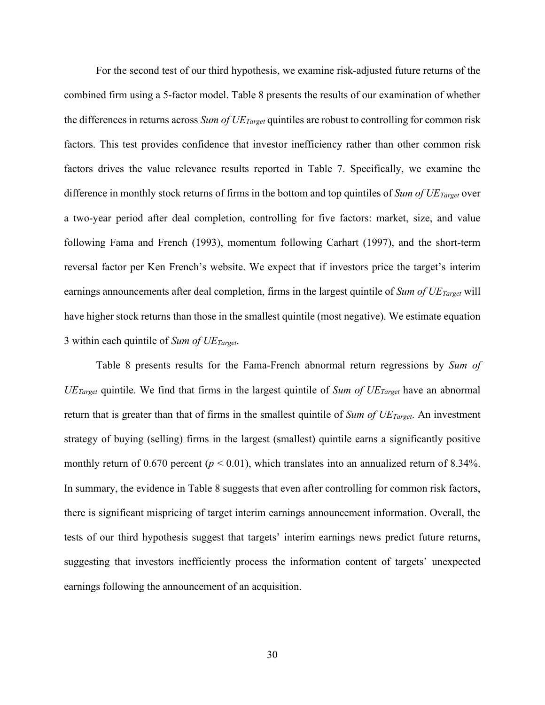For the second test of our third hypothesis, we examine risk-adjusted future returns of the combined firm using a 5-factor model. Table 8 presents the results of our examination of whether the differences in returns across *Sum of UE Target* quintiles are robust to controlling for common risk factors. This test provides confidence that investor inefficiency rather than other common risk factors drives the value relevance results reported in Table 7. Specifically, we examine the difference in monthly stock returns of firms in the bottom and top quintiles of *Sum of UETarget* over a two-year period after deal completion, controlling for five factors: market, size, and value following Fama and French (1993), momentum following Carhart (1997), and the short-term reversal factor per Ken French's website. We expect that if investors price the target's interim earnings announcements after deal completion, firms in the largest quintile of *Sum of UE Target* will have higher stock returns than those in the smallest quintile (most negative). We estimate equation 3 within each quintile of *Sum of UETarget*.

Table 8 presents results for the Fama-French abnormal return regressions by *Sum of UETarget* quintile. We find that firms in the largest quintile of *Sum of UETarget* have an abnormal return that is greater than that of firms in the smallest quintile of *Sum of UETarget*. An investment strategy of buying (selling) firms in the largest (smallest) quintile earns a significantly positive monthly return of 0.670 percent ( $p < 0.01$ ), which translates into an annualized return of 8.34%. In summary, the evidence in Table 8 suggests that even after controlling for common risk factors, there is significant mispricing of target interim earnings announcement information. Overall, the tests of our third hypothesis suggest that targets' interim earnings news predict future returns, suggesting that investors inefficiently process the information content of targets' unexpected earnings following the announcement of an acquisition.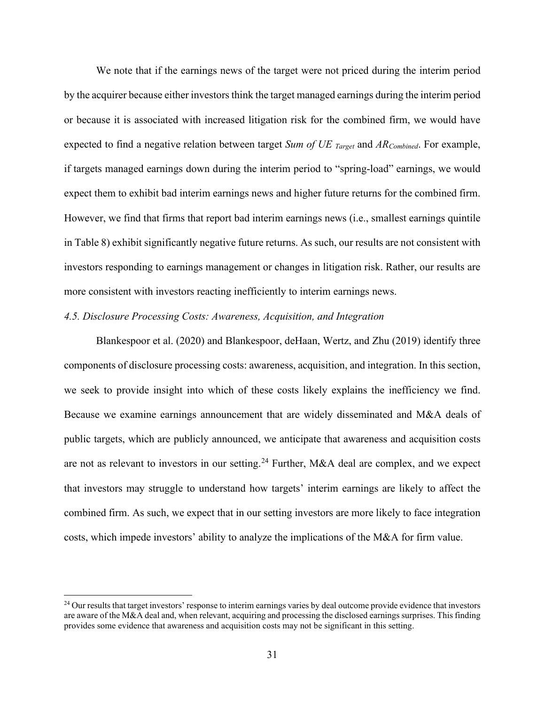We note that if the earnings news of the target were not priced during the interim period by the acquirer because either investors think the target managed earnings during the interim period or because it is associated with increased litigation risk for the combined firm, we would have expected to find a negative relation between target *Sum of UE Target* and *ARCombined*. For example, if targets managed earnings down during the interim period to "spring-load" earnings, we would expect them to exhibit bad interim earnings news and higher future returns for the combined firm. However, we find that firms that report bad interim earnings news (i.e., smallest earnings quintile in Table 8) exhibit significantly negative future returns. As such, our results are not consistent with investors responding to earnings management or changes in litigation risk. Rather, our results are more consistent with investors reacting inefficiently to interim earnings news.

# *4.5. Disclosure Processing Costs: Awareness, Acquisition, and Integration*

Blankespoor et al. (2020) and Blankespoor, deHaan, Wertz, and Zhu (2019) identify three components of disclosure processing costs: awareness, acquisition, and integration. In this section, we seek to provide insight into which of these costs likely explains the inefficiency we find. Because we examine earnings announcement that are widely disseminated and M&A deals of public targets, which are publicly announced, we anticipate that awareness and acquisition costs are not as relevant to investors in our setting.<sup>24</sup> Further, M&A deal are complex, and we expect that investors may struggle to understand how targets' interim earnings are likely to affect the combined firm. As such, we expect that in our setting investors are more likely to face integration costs, which impede investors' ability to analyze the implications of the M&A for firm value.

<sup>&</sup>lt;sup>24</sup> Our results that target investors' response to interim earnings varies by deal outcome provide evidence that investors are aware of the M&A deal and, when relevant, acquiring and processing the disclosed earnings surprises. This finding provides some evidence that awareness and acquisition costs may not be significant in this setting.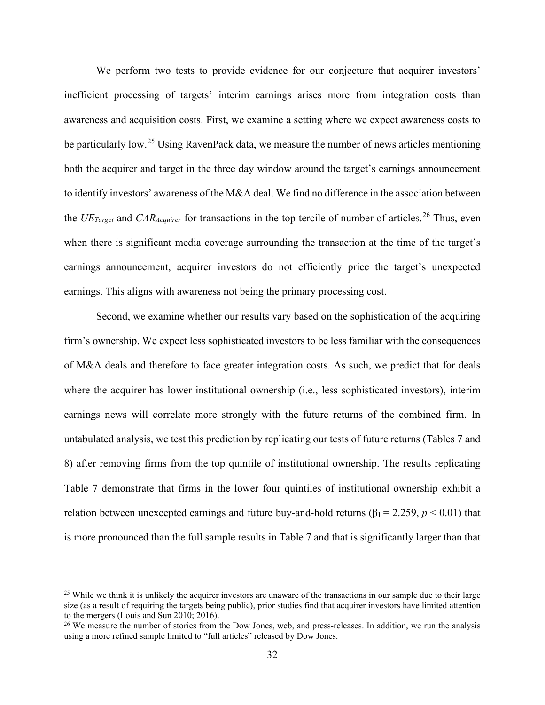We perform two tests to provide evidence for our conjecture that acquirer investors' inefficient processing of targets' interim earnings arises more from integration costs than awareness and acquisition costs. First, we examine a setting where we expect awareness costs to be particularly low.<sup>25</sup> Using RavenPack data, we measure the number of news articles mentioning both the acquirer and target in the three day window around the target's earnings announcement to identify investors' awareness of the M&A deal. We find no difference in the association between the *UE<sub>Target</sub>* and *CAR<sub>Acquirer*</sub> for transactions in the top tercile of number of articles.<sup>26</sup> Thus, even when there is significant media coverage surrounding the transaction at the time of the target's earnings announcement, acquirer investors do not efficiently price the target's unexpected earnings. This aligns with awareness not being the primary processing cost.

Second, we examine whether our results vary based on the sophistication of the acquiring firm's ownership. We expect less sophisticated investors to be less familiar with the consequences of M&A deals and therefore to face greater integration costs. As such, we predict that for deals where the acquirer has lower institutional ownership (i.e., less sophisticated investors), interim earnings news will correlate more strongly with the future returns of the combined firm. In untabulated analysis, we test this prediction by replicating our tests of future returns (Tables 7 and 8) after removing firms from the top quintile of institutional ownership. The results replicating Table 7 demonstrate that firms in the lower four quintiles of institutional ownership exhibit a relation between unexcepted earnings and future buy-and-hold returns ( $\beta_1 = 2.259$ ,  $p < 0.01$ ) that is more pronounced than the full sample results in Table 7 and that is significantly larger than that

<sup>&</sup>lt;sup>25</sup> While we think it is unlikely the acquirer investors are unaware of the transactions in our sample due to their large size (as a result of requiring the targets being public), prior studies find that acquirer investors have limited attention to the mergers (Louis and Sun 2010; 2016).

<sup>&</sup>lt;sup>26</sup> We measure the number of stories from the Dow Jones, web, and press-releases. In addition, we run the analysis using a more refined sample limited to "full articles" released by Dow Jones.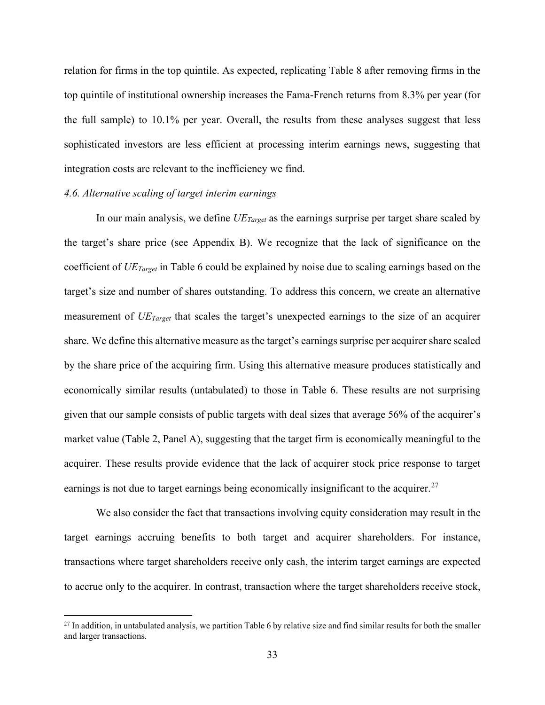relation for firms in the top quintile. As expected, replicating Table 8 after removing firms in the top quintile of institutional ownership increases the Fama-French returns from 8.3% per year (for the full sample) to 10.1% per year. Overall, the results from these analyses suggest that less sophisticated investors are less efficient at processing interim earnings news, suggesting that integration costs are relevant to the inefficiency we find.

### *4.6. Alternative scaling of target interim earnings*

In our main analysis, we define *UETarget* as the earnings surprise per target share scaled by the target's share price (see Appendix B). We recognize that the lack of significance on the coefficient of *UETarget* in Table 6 could be explained by noise due to scaling earnings based on the target's size and number of shares outstanding. To address this concern, we create an alternative measurement of *UETarget* that scales the target's unexpected earnings to the size of an acquirer share. We define this alternative measure as the target's earnings surprise per acquirer share scaled by the share price of the acquiring firm. Using this alternative measure produces statistically and economically similar results (untabulated) to those in Table 6. These results are not surprising given that our sample consists of public targets with deal sizes that average 56% of the acquirer's market value (Table 2, Panel A), suggesting that the target firm is economically meaningful to the acquirer. These results provide evidence that the lack of acquirer stock price response to target earnings is not due to target earnings being economically insignificant to the acquirer.<sup>27</sup>

We also consider the fact that transactions involving equity consideration may result in the target earnings accruing benefits to both target and acquirer shareholders. For instance, transactions where target shareholders receive only cash, the interim target earnings are expected to accrue only to the acquirer. In contrast, transaction where the target shareholders receive stock,

 $27$  In addition, in untabulated analysis, we partition Table 6 by relative size and find similar results for both the smaller and larger transactions.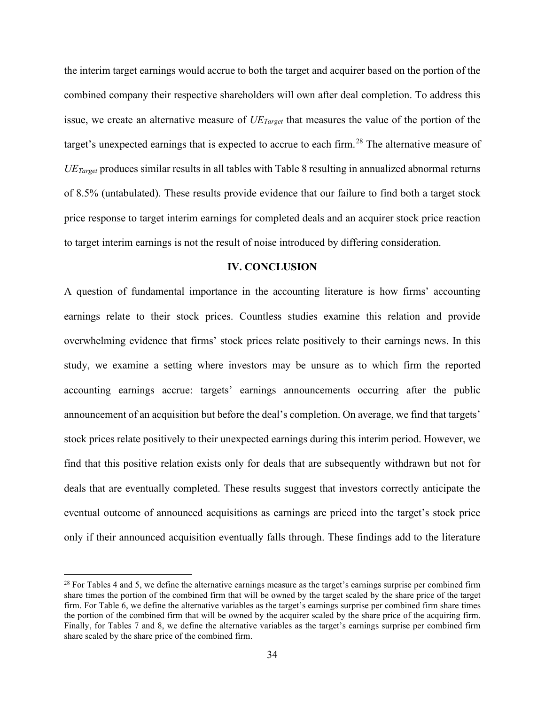the interim target earnings would accrue to both the target and acquirer based on the portion of the combined company their respective shareholders will own after deal completion. To address this issue, we create an alternative measure of *UETarget* that measures the value of the portion of the target's unexpected earnings that is expected to accrue to each firm.<sup>28</sup> The alternative measure of *UETarget* produces similar results in all tables with Table 8 resulting in annualized abnormal returns of 8.5% (untabulated). These results provide evidence that our failure to find both a target stock price response to target interim earnings for completed deals and an acquirer stock price reaction to target interim earnings is not the result of noise introduced by differing consideration.

### **IV. CONCLUSION**

A question of fundamental importance in the accounting literature is how firms' accounting earnings relate to their stock prices. Countless studies examine this relation and provide overwhelming evidence that firms' stock prices relate positively to their earnings news. In this study, we examine a setting where investors may be unsure as to which firm the reported accounting earnings accrue: targets' earnings announcements occurring after the public announcement of an acquisition but before the deal's completion. On average, we find that targets' stock prices relate positively to their unexpected earnings during this interim period. However, we find that this positive relation exists only for deals that are subsequently withdrawn but not for deals that are eventually completed. These results suggest that investors correctly anticipate the eventual outcome of announced acquisitions as earnings are priced into the target's stock price only if their announced acquisition eventually falls through. These findings add to the literature

 $^{28}$  For Tables 4 and 5, we define the alternative earnings measure as the target's earnings surprise per combined firm share times the portion of the combined firm that will be owned by the target scaled by the share price of the target firm. For Table 6, we define the alternative variables as the target's earnings surprise per combined firm share times the portion of the combined firm that will be owned by the acquirer scaled by the share price of the acquiring firm. Finally, for Tables 7 and 8, we define the alternative variables as the target's earnings surprise per combined firm share scaled by the share price of the combined firm.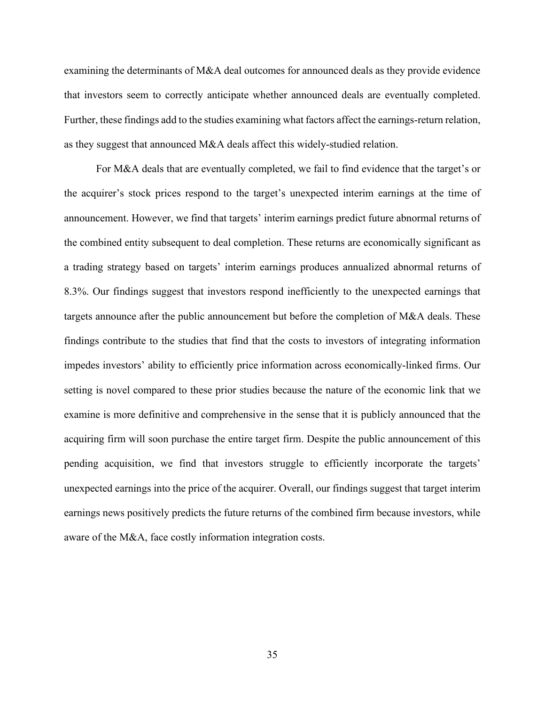examining the determinants of M&A deal outcomes for announced deals as they provide evidence that investors seem to correctly anticipate whether announced deals are eventually completed. Further, these findings add to the studies examining what factors affect the earnings-return relation, as they suggest that announced M&A deals affect this widely-studied relation.

For M&A deals that are eventually completed, we fail to find evidence that the target's or the acquirer's stock prices respond to the target's unexpected interim earnings at the time of announcement. However, we find that targets' interim earnings predict future abnormal returns of the combined entity subsequent to deal completion. These returns are economically significant as a trading strategy based on targets' interim earnings produces annualized abnormal returns of 8.3%. Our findings suggest that investors respond inefficiently to the unexpected earnings that targets announce after the public announcement but before the completion of M&A deals. These findings contribute to the studies that find that the costs to investors of integrating information impedes investors' ability to efficiently price information across economically-linked firms. Our setting is novel compared to these prior studies because the nature of the economic link that we examine is more definitive and comprehensive in the sense that it is publicly announced that the acquiring firm will soon purchase the entire target firm. Despite the public announcement of this pending acquisition, we find that investors struggle to efficiently incorporate the targets' unexpected earnings into the price of the acquirer. Overall, our findings suggest that target interim earnings news positively predicts the future returns of the combined firm because investors, while aware of the M&A, face costly information integration costs.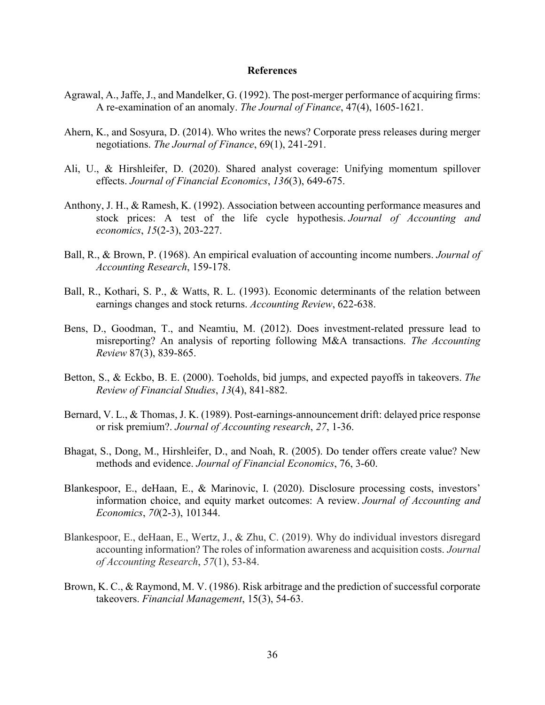### **References**

- Agrawal, A., Jaffe, J., and Mandelker, G. (1992). The post-merger performance of acquiring firms: A re-examination of an anomaly. *The Journal of Finance*, 47(4), 1605-1621.
- Ahern, K., and Sosyura, D. (2014). Who writes the news? Corporate press releases during merger negotiations. *The Journal of Finance*, 69(1), 241-291.
- Ali, U., & Hirshleifer, D. (2020). Shared analyst coverage: Unifying momentum spillover effects. *Journal of Financial Economics*, *136*(3), 649-675.
- Anthony, J. H., & Ramesh, K. (1992). Association between accounting performance measures and stock prices: A test of the life cycle hypothesis. *Journal of Accounting and economics*, *15*(2-3), 203-227.
- Ball, R., & Brown, P. (1968). An empirical evaluation of accounting income numbers. *Journal of Accounting Research*, 159-178.
- Ball, R., Kothari, S. P., & Watts, R. L. (1993). Economic determinants of the relation between earnings changes and stock returns. *Accounting Review*, 622-638.
- Bens, D., Goodman, T., and Neamtiu, M. (2012). Does investment-related pressure lead to misreporting? An analysis of reporting following M&A transactions. *The Accounting Review* 87(3), 839-865.
- Betton, S., & Eckbo, B. E. (2000). Toeholds, bid jumps, and expected payoffs in takeovers. *The Review of Financial Studies*, *13*(4), 841-882.
- Bernard, V. L., & Thomas, J. K. (1989). Post-earnings-announcement drift: delayed price response or risk premium?. *Journal of Accounting research*, *27*, 1-36.
- Bhagat, S., Dong, M., Hirshleifer, D., and Noah, R. (2005). Do tender offers create value? New methods and evidence. *Journal of Financial Economics*, 76, 3-60.
- Blankespoor, E., deHaan, E., & Marinovic, I. (2020). Disclosure processing costs, investors' information choice, and equity market outcomes: A review. *Journal of Accounting and Economics*, *70*(2-3), 101344.
- Blankespoor, E., deHaan, E., Wertz, J., & Zhu, C. (2019). Why do individual investors disregard accounting information? The roles of information awareness and acquisition costs. *Journal of Accounting Research*, *57*(1), 53-84.
- Brown, K. C., & Raymond, M. V. (1986). Risk arbitrage and the prediction of successful corporate takeovers. *Financial Management*, 15(3), 54-63.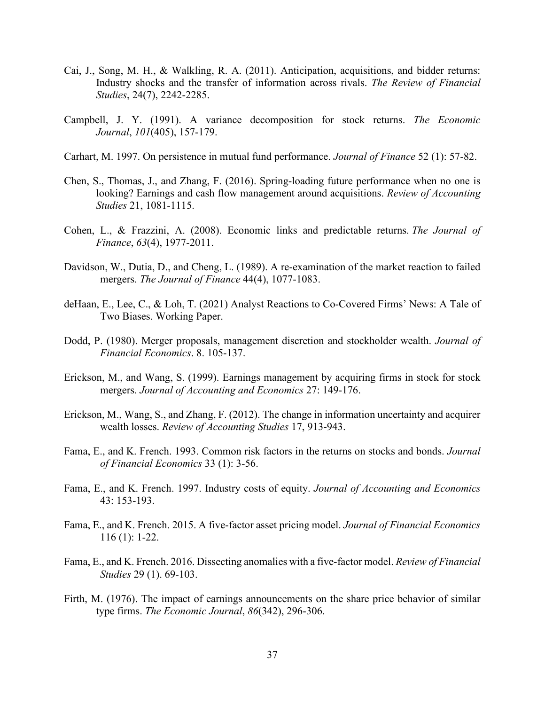- Cai, J., Song, M. H., & Walkling, R. A. (2011). Anticipation, acquisitions, and bidder returns: Industry shocks and the transfer of information across rivals. *The Review of Financial Studies*, 24(7), 2242-2285.
- Campbell, J. Y. (1991). A variance decomposition for stock returns. *The Economic Journal*, *101*(405), 157-179.
- Carhart, M. 1997. On persistence in mutual fund performance. *Journal of Finance* 52 (1): 57-82.
- Chen, S., Thomas, J., and Zhang, F. (2016). Spring-loading future performance when no one is looking? Earnings and cash flow management around acquisitions. *Review of Accounting Studies* 21, 1081-1115.
- Cohen, L., & Frazzini, A. (2008). Economic links and predictable returns. *The Journal of Finance*, *63*(4), 1977-2011.
- Davidson, W., Dutia, D., and Cheng, L. (1989). A re-examination of the market reaction to failed mergers. *The Journal of Finance* 44(4), 1077-1083.
- deHaan, E., Lee, C., & Loh, T. (2021) Analyst Reactions to Co-Covered Firms' News: A Tale of Two Biases. Working Paper.
- Dodd, P. (1980). Merger proposals, management discretion and stockholder wealth. *Journal of Financial Economics*. 8. 105-137.
- Erickson, M., and Wang, S. (1999). Earnings management by acquiring firms in stock for stock mergers. *Journal of Accounting and Economics* 27: 149-176.
- Erickson, M., Wang, S., and Zhang, F. (2012). The change in information uncertainty and acquirer wealth losses. *Review of Accounting Studies* 17, 913-943.
- Fama, E., and K. French. 1993. Common risk factors in the returns on stocks and bonds. *Journal of Financial Economics* 33 (1): 3-56.
- Fama, E., and K. French. 1997. Industry costs of equity. *Journal of Accounting and Economics* 43: 153-193.
- Fama, E., and K. French. 2015. A five-factor asset pricing model. *Journal of Financial Economics*  116 (1): 1-22.
- Fama, E., and K. French. 2016. Dissecting anomalies with a five-factor model. *Review of Financial Studies* 29 (1). 69-103.
- Firth, M. (1976). The impact of earnings announcements on the share price behavior of similar type firms. *The Economic Journal*, *86*(342), 296-306.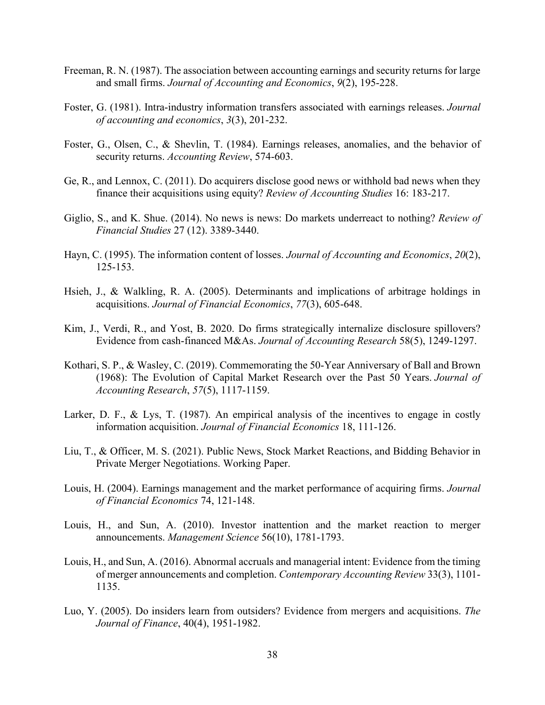- Freeman, R. N. (1987). The association between accounting earnings and security returns for large and small firms. *Journal of Accounting and Economics*, *9*(2), 195-228.
- Foster, G. (1981). Intra-industry information transfers associated with earnings releases. *Journal of accounting and economics*, *3*(3), 201-232.
- Foster, G., Olsen, C., & Shevlin, T. (1984). Earnings releases, anomalies, and the behavior of security returns. *Accounting Review*, 574-603.
- Ge, R., and Lennox, C. (2011). Do acquirers disclose good news or withhold bad news when they finance their acquisitions using equity? *Review of Accounting Studies* 16: 183-217.
- Giglio, S., and K. Shue. (2014). No news is news: Do markets underreact to nothing? *Review of Financial Studies* 27 (12). 3389-3440.
- Hayn, C. (1995). The information content of losses. *Journal of Accounting and Economics*, *20*(2), 125-153.
- Hsieh, J., & Walkling, R. A. (2005). Determinants and implications of arbitrage holdings in acquisitions. *Journal of Financial Economics*, *77*(3), 605-648.
- Kim, J., Verdi, R., and Yost, B. 2020. Do firms strategically internalize disclosure spillovers? Evidence from cash-financed M&As. *Journal of Accounting Research* 58(5), 1249-1297.
- Kothari, S. P., & Wasley, C. (2019). Commemorating the 50‐Year Anniversary of Ball and Brown (1968): The Evolution of Capital Market Research over the Past 50 Years. *Journal of Accounting Research*, *57*(5), 1117-1159.
- Larker, D. F., & Lys, T. (1987). An empirical analysis of the incentives to engage in costly information acquisition. *Journal of Financial Economics* 18, 111-126.
- Liu, T., & Officer, M. S. (2021). Public News, Stock Market Reactions, and Bidding Behavior in Private Merger Negotiations. Working Paper.
- Louis, H. (2004). Earnings management and the market performance of acquiring firms. *Journal of Financial Economics* 74, 121-148.
- Louis, H., and Sun, A. (2010). Investor inattention and the market reaction to merger announcements. *Management Science* 56(10), 1781-1793.
- Louis, H., and Sun, A. (2016). Abnormal accruals and managerial intent: Evidence from the timing of merger announcements and completion. *Contemporary Accounting Review* 33(3), 1101- 1135.
- Luo, Y. (2005). Do insiders learn from outsiders? Evidence from mergers and acquisitions. *The Journal of Finance*, 40(4), 1951-1982.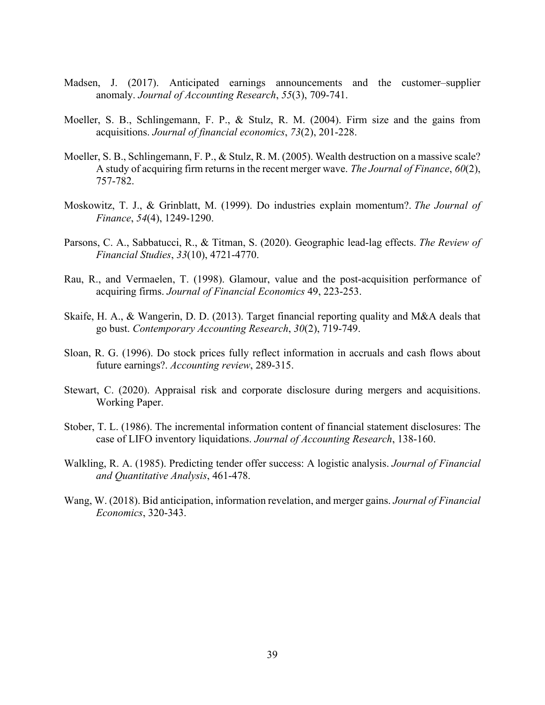- Madsen, J. (2017). Anticipated earnings announcements and the customer–supplier anomaly. *Journal of Accounting Research*, *55*(3), 709-741.
- Moeller, S. B., Schlingemann, F. P., & Stulz, R. M. (2004). Firm size and the gains from acquisitions. *Journal of financial economics*, *73*(2), 201-228.
- Moeller, S. B., Schlingemann, F. P., & Stulz, R. M. (2005). Wealth destruction on a massive scale? A study of acquiring firm returns in the recent merger wave. *The Journal of Finance*, *60*(2), 757-782.
- Moskowitz, T. J., & Grinblatt, M. (1999). Do industries explain momentum?. *The Journal of Finance*, *54*(4), 1249-1290.
- Parsons, C. A., Sabbatucci, R., & Titman, S. (2020). Geographic lead-lag effects. *The Review of Financial Studies*, *33*(10), 4721-4770.
- Rau, R., and Vermaelen, T. (1998). Glamour, value and the post-acquisition performance of acquiring firms. *Journal of Financial Economics* 49, 223-253.
- Skaife, H. A., & Wangerin, D. D. (2013). Target financial reporting quality and M&A deals that go bust. *Contemporary Accounting Research*, *30*(2), 719-749.
- Sloan, R. G. (1996). Do stock prices fully reflect information in accruals and cash flows about future earnings?. *Accounting review*, 289-315.
- Stewart, C. (2020). Appraisal risk and corporate disclosure during mergers and acquisitions. Working Paper.
- Stober, T. L. (1986). The incremental information content of financial statement disclosures: The case of LIFO inventory liquidations. *Journal of Accounting Research*, 138-160.
- Walkling, R. A. (1985). Predicting tender offer success: A logistic analysis. *Journal of Financial and Quantitative Analysis*, 461-478.
- Wang, W. (2018). Bid anticipation, information revelation, and merger gains. *Journal of Financial Economics*, 320-343.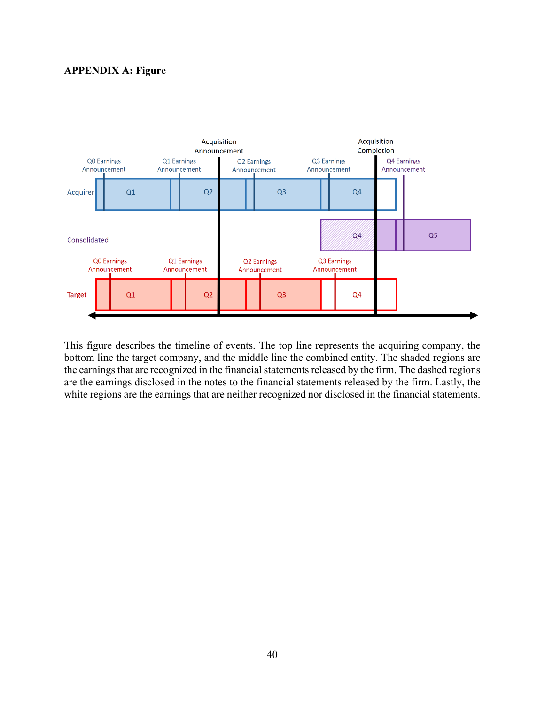# **APPENDIX A: Figure**



This figure describes the timeline of events. The top line represents the acquiring company, the bottom line the target company, and the middle line the combined entity. The shaded regions are the earnings that are recognized in the financial statements released by the firm. The dashed regions are the earnings disclosed in the notes to the financial statements released by the firm. Lastly, the white regions are the earnings that are neither recognized nor disclosed in the financial statements.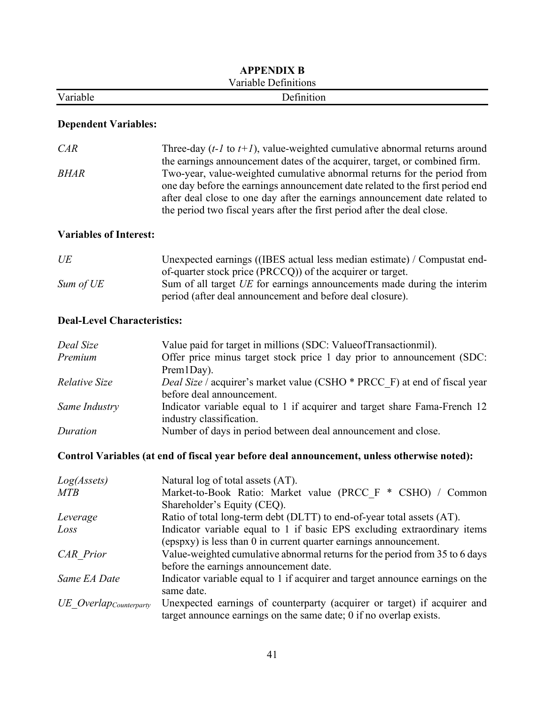|          | <b>APPENDIX B</b>    |  |
|----------|----------------------|--|
|          | Variable Definitions |  |
| Variable | Definition           |  |

# **Dependent Variables:**

| CAR  | Three-day $(t-1$ to $t+1)$ , value-weighted cumulative abnormal returns around |
|------|--------------------------------------------------------------------------------|
|      | the earnings announcement dates of the acquirer, target, or combined firm.     |
| BHAR | Two-year, value-weighted cumulative abnormal returns for the period from       |
|      | one day before the earnings announcement date related to the first period end  |
|      | after deal close to one day after the earnings announcement date related to    |
|      | the period two fiscal years after the first period after the deal close.       |

# **Variables of Interest:**

| UE        | Unexpected earnings ((IBES actual less median estimate) / Compustat end- |
|-----------|--------------------------------------------------------------------------|
|           | of-quarter stock price (PRCCQ)) of the acquirer or target.               |
| Sum of UE | Sum of all target UE for earnings announcements made during the interim  |
|           | period (after deal announcement and before deal closure).                |

# **Deal-Level Characteristics:**

| Deal Size     | Value paid for target in millions (SDC: Value of Transactionmil).         |
|---------------|---------------------------------------------------------------------------|
| Premium       | Offer price minus target stock price 1 day prior to announcement (SDC:    |
|               | $Prem1Day$ ).                                                             |
| Relative Size | Deal Size / acquirer's market value (CSHO * PRCC F) at end of fiscal year |
|               | before deal announcement.                                                 |
| Same Industry | Indicator variable equal to 1 if acquirer and target share Fama-French 12 |
|               | industry classification.                                                  |
| Duration      | Number of days in period between deal announcement and close.             |

# **Control Variables (at end of fiscal year before deal announcement, unless otherwise noted):**

| Log(Assets)             | Natural log of total assets (AT).                                             |
|-------------------------|-------------------------------------------------------------------------------|
| <b>MTB</b>              | Market-to-Book Ratio: Market value (PRCC F * CSHO) / Common                   |
|                         | Shareholder's Equity (CEQ).                                                   |
| Leverage                | Ratio of total long-term debt (DLTT) to end-of-year total assets (AT).        |
| Loss                    | Indicator variable equal to 1 if basic EPS excluding extraordinary items      |
|                         | (epspxy) is less than 0 in current quarter earnings announcement.             |
| <b>CAR</b> Prior        | Value-weighted cumulative abnormal returns for the period from 35 to 6 days   |
|                         | before the earnings announcement date.                                        |
| Same EA Date            | Indicator variable equal to 1 if acquirer and target announce earnings on the |
|                         | same date.                                                                    |
| UE Overlap Counterparty | Unexpected earnings of counterparty (acquirer or target) if acquirer and      |
|                         | target announce earnings on the same date; $0$ if no overlap exists.          |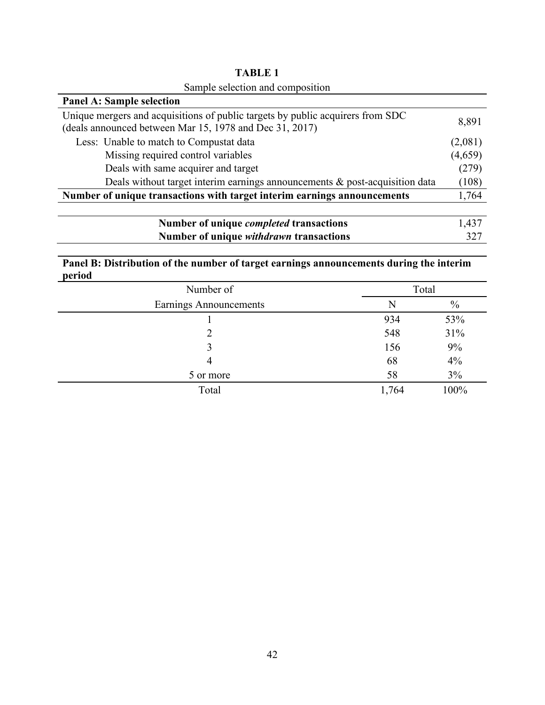| Sample selection and composition                                                                                                          |         |
|-------------------------------------------------------------------------------------------------------------------------------------------|---------|
| <b>Panel A: Sample selection</b>                                                                                                          |         |
| Unique mergers and acquisitions of public targets by public acquirers from SDC<br>(deals announced between Mar 15, 1978 and Dec 31, 2017) | 8,891   |
| Less: Unable to match to Compustat data                                                                                                   | (2,081) |
| Missing required control variables                                                                                                        | (4,659) |
| Deals with same acquirer and target                                                                                                       | (279)   |
| Deals without target interim earnings announcements $\&$ post-acquisition data                                                            | (108)   |
| Number of unique transactions with target interim earnings announcements                                                                  | 1,764   |
|                                                                                                                                           |         |
| Number of unique <i>completed</i> transactions                                                                                            | 1,437   |
| Number of unique <i>withdrawn</i> transactions                                                                                            | 327     |

**TABLE 1** Sample selection and composition

# **Panel B: Distribution of the number of target earnings announcements during the interim period**

| Number of              |       | Total |  |  |  |
|------------------------|-------|-------|--|--|--|
| Earnings Announcements | N     | $\%$  |  |  |  |
|                        | 934   | 53%   |  |  |  |
|                        | 548   | 31%   |  |  |  |
|                        | 156   | 9%    |  |  |  |
|                        | 68    | 4%    |  |  |  |
| 5 or more              | 58    | 3%    |  |  |  |
| Total                  | 1,764 | 100%  |  |  |  |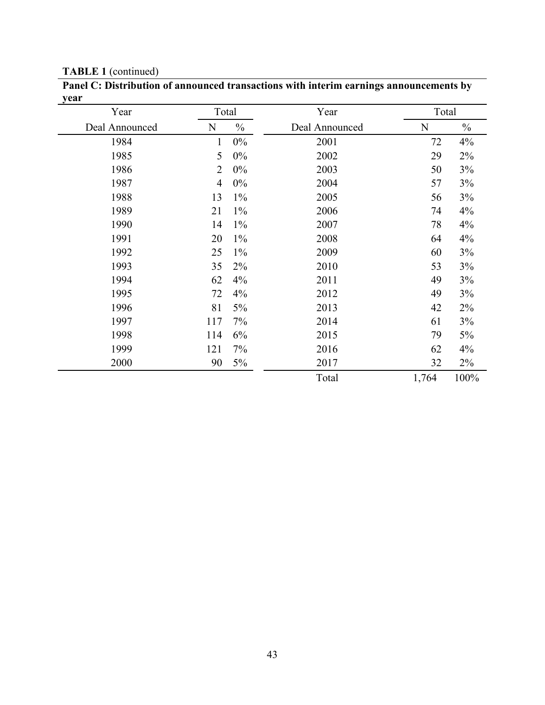**TABLE 1** (continued)

| Year           |                | Total         | Year           | Total |               |
|----------------|----------------|---------------|----------------|-------|---------------|
| Deal Announced | N              | $\frac{0}{0}$ | Deal Announced | N     | $\frac{0}{0}$ |
| 1984           | $\mathbf{1}$   | 0%            | 2001           | 72    | 4%            |
| 1985           | 5              | 0%            | 2002           | 29    | 2%            |
| 1986           | $\overline{2}$ | 0%            | 2003           | 50    | 3%            |
| 1987           | $\overline{4}$ | $0\%$         | 2004           | 57    | 3%            |
| 1988           | 13             | $1\%$         | 2005           | 56    | 3%            |
| 1989           | 21             | $1\%$         | 2006           | 74    | 4%            |
| 1990           | 14             | $1\%$         | 2007           | 78    | 4%            |
| 1991           | 20             | $1\%$         | 2008           | 64    | 4%            |
| 1992           | 25             | $1\%$         | 2009           | 60    | 3%            |
| 1993           | 35             | $2\%$         | 2010           | 53    | 3%            |
| 1994           | 62             | 4%            | 2011           | 49    | 3%            |
| 1995           | 72             | 4%            | 2012           | 49    | 3%            |
| 1996           | 81             | 5%            | 2013           | 42    | 2%            |
| 1997           | 117            | 7%            | 2014           | 61    | 3%            |
| 1998           | 114            | 6%            | 2015           | 79    | 5%            |
| 1999           | 121            | 7%            | 2016           | 62    | 4%            |
| 2000           | 90             | 5%            | 2017           | 32    | 2%            |
|                |                |               | Total          | 1,764 | 100%          |

**Panel C: Distribution of announced transactions with interim earnings announcements by**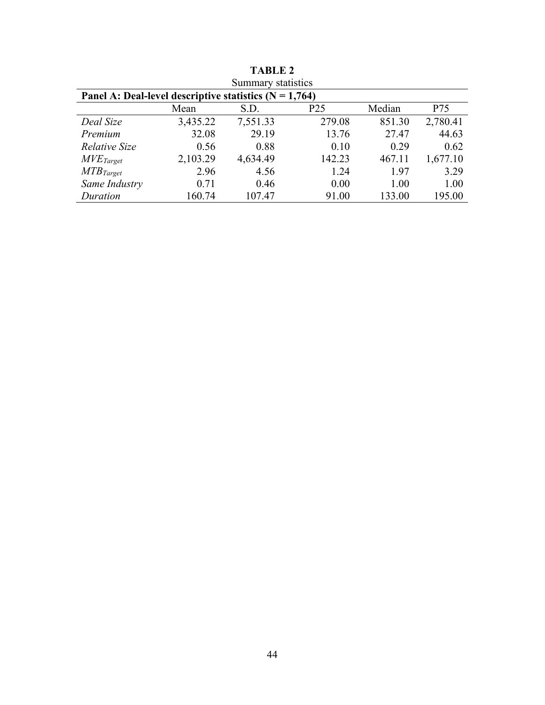| Summary statistics                                       |          |          |        |        |          |  |  |  |  |  |
|----------------------------------------------------------|----------|----------|--------|--------|----------|--|--|--|--|--|
| Panel A: Deal-level descriptive statistics $(N = 1,764)$ |          |          |        |        |          |  |  |  |  |  |
| P <sub>25</sub><br>Median<br>P75<br>Mean<br>S.D.         |          |          |        |        |          |  |  |  |  |  |
| Deal Size                                                | 3,435.22 | 7,551.33 | 279.08 | 851.30 | 2,780.41 |  |  |  |  |  |
| Premium                                                  | 32.08    | 29.19    | 13.76  | 27.47  | 44.63    |  |  |  |  |  |
| Relative Size                                            | 0.56     | 0.88     | 0.10   | 0.29   | 0.62     |  |  |  |  |  |
| $MVE_{Target}$                                           | 2,103.29 | 4,634.49 | 142.23 | 467.11 | 1,677.10 |  |  |  |  |  |
| $MTB_{Target}$                                           | 2.96     | 4.56     | 1.24   | 1.97   | 3.29     |  |  |  |  |  |
| Same Industry                                            | 0.71     | 0.46     | 0.00   | 1.00   | 1.00     |  |  |  |  |  |
| Duration                                                 | 160.74   | 107.47   | 91.00  | 133.00 | 195.00   |  |  |  |  |  |

**TABLE 2**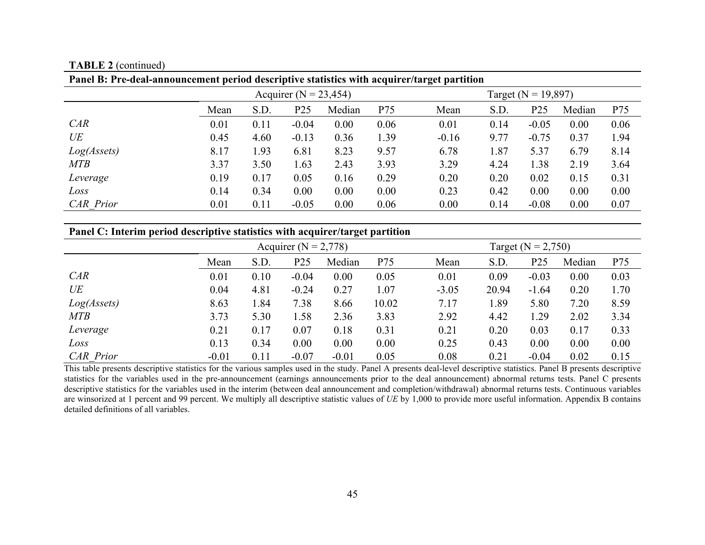**TABLE 2** (continued)

| Panel B: Pre-deal-announcement period descriptive statistics with acquirer/target partition |      |                           |                 |                         |      |         |      |                 |        |      |
|---------------------------------------------------------------------------------------------|------|---------------------------|-----------------|-------------------------|------|---------|------|-----------------|--------|------|
|                                                                                             |      | Acquirer ( $N = 23,454$ ) |                 | Target ( $N = 19,897$ ) |      |         |      |                 |        |      |
|                                                                                             | Mean | S.D.                      | P <sub>25</sub> | Median                  | P75  | Mean    | S.D. | P <sub>25</sub> | Median | P75  |
| CAR                                                                                         | 0.01 | 0.11                      | $-0.04$         | 0.00                    | 0.06 | 0.01    | 0.14 | $-0.05$         | 0.00   | 0.06 |
| UE                                                                                          | 0.45 | 4.60                      | $-0.13$         | 0.36                    | 1.39 | $-0.16$ | 9.77 | $-0.75$         | 0.37   | 1.94 |
| Log(Assets)                                                                                 | 8.17 | 1.93                      | 6.81            | 8.23                    | 9.57 | 6.78    | 1.87 | 5.37            | 6.79   | 8.14 |
| <b>MTB</b>                                                                                  | 3.37 | 3.50                      | 1.63            | 2.43                    | 3.93 | 3.29    | 4.24 | 1.38            | 2.19   | 3.64 |
| Leverage                                                                                    | 0.19 | 0.17                      | 0.05            | 0.16                    | 0.29 | 0.20    | 0.20 | 0.02            | 0.15   | 0.31 |
| Loss                                                                                        | 0.14 | 0.34                      | 0.00            | 0.00                    | 0.00 | 0.23    | 0.42 | 0.00            | 0.00   | 0.00 |
| <b>CAR</b> Prior                                                                            | 0.01 | 0.11                      | $-0.05$         | 0.00                    | 0.06 | 0.00    | 0.14 | $-0.08$         | 0.00   | 0.07 |

# **Panel C: Interim period descriptive statistics with acquirer/target partition**

|                  | Acquirer ( $N = 2,778$ ) |      |         |         |       | Target ( $N = 2,750$ ) |       |         |        |      |
|------------------|--------------------------|------|---------|---------|-------|------------------------|-------|---------|--------|------|
|                  | Mean                     | S.D. | P25     | Median  | P75   | Mean                   | S.D.  | P25     | Median | P75  |
| CAR              | 0.01                     | 0.10 | $-0.04$ | 0.00    | 0.05  | 0.01                   | 0.09  | $-0.03$ | 0.00   | 0.03 |
| UE               | 0.04                     | 4.81 | $-0.24$ | 0.27    | 1.07  | $-3.05$                | 20.94 | $-1.64$ | 0.20   | 1.70 |
| Log(Assets)      | 8.63                     | l.84 | 7.38    | 8.66    | 10.02 | 7.17                   | 1.89  | 5.80    | 7.20   | 8.59 |
| <b>MTB</b>       | 3.73                     | 5.30 | 1.58    | 2.36    | 3.83  | 2.92                   | 4.42  | 1.29    | 2.02   | 3.34 |
| Leverage         | 0.21                     | 0.17 | 0.07    | 0.18    | 0.31  | 0.21                   | 0.20  | 0.03    | 0.17   | 0.33 |
| Loss             | 0.13                     | 0.34 | 0.00    | 0.00    | 0.00  | 0.25                   | 0.43  | 0.00    | 0.00   | 0.00 |
| <b>CAR</b> Prior | $-0.01$                  | 0.11 | $-0.07$ | $-0.01$ | 0.05  | 0.08                   | 0.21  | $-0.04$ | 0.02   | 0.15 |

This table presents descriptive statistics for the various samples used in the study. Panel A presents deal-level descriptive statistics. Panel B presents descriptive statistics for the variables used in the pre-announcement (earnings announcements prior to the deal announcement) abnormal returns tests. Panel C presents descriptive statistics for the variables used in the interim (between deal announcement and completion/withdrawal) abnormal returns tests. Continuous variables are winsorized at 1 percent and 99 percent. We multiply all descriptive statistic values of *UE* by 1,000 to provide more useful information. Appendix B contains detailed definitions of all variables.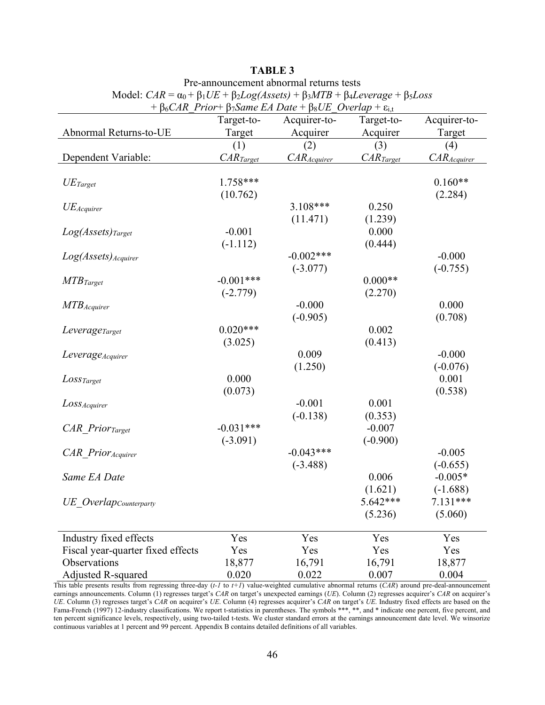|                                    | + $\beta_6CAR$ Prior+ $\beta_7Same$ EA Date + $\beta_8UE$ Overlap + $\varepsilon_{i,t}$ |                 |                |                 |  |  |  |  |  |  |
|------------------------------------|-----------------------------------------------------------------------------------------|-----------------|----------------|-----------------|--|--|--|--|--|--|
|                                    | Target-to-                                                                              | Acquirer-to-    | Target-to-     | Acquirer-to-    |  |  |  |  |  |  |
| Abnormal Returns-to-UE             | Target                                                                                  | Acquirer        | Acquirer       | Target          |  |  |  |  |  |  |
|                                    | (1)                                                                                     | (2)             | (3)            | (4)             |  |  |  |  |  |  |
| Dependent Variable:                | CAR <sub>Target</sub>                                                                   | $CAR_{Acquire}$ | $CAR_{Target}$ | $CAR_{Acquire}$ |  |  |  |  |  |  |
|                                    |                                                                                         |                 |                |                 |  |  |  |  |  |  |
| $UE_{Target}$                      | $1.758***$                                                                              |                 |                | $0.160**$       |  |  |  |  |  |  |
|                                    | (10.762)                                                                                |                 |                | (2.284)         |  |  |  |  |  |  |
| $UE_{Acquire}$                     |                                                                                         | $3.108***$      | 0.250          |                 |  |  |  |  |  |  |
|                                    |                                                                                         | (11.471)        | (1.239)        |                 |  |  |  |  |  |  |
| $Log(Assets)_{Target}$             | $-0.001$                                                                                |                 | 0.000          |                 |  |  |  |  |  |  |
|                                    | $(-1.112)$                                                                              |                 | (0.444)        |                 |  |  |  |  |  |  |
| $Log(Assets)_{Acquire}$            |                                                                                         | $-0.002***$     |                | $-0.000$        |  |  |  |  |  |  |
|                                    |                                                                                         | $(-3.077)$      |                | $(-0.755)$      |  |  |  |  |  |  |
| $MTB_{Target}$                     | $-0.001***$                                                                             |                 | $0.000**$      |                 |  |  |  |  |  |  |
|                                    | $(-2.779)$                                                                              |                 | (2.270)        |                 |  |  |  |  |  |  |
| $MTB$ <i>Acquirer</i>              |                                                                                         | $-0.000$        |                | 0.000           |  |  |  |  |  |  |
|                                    |                                                                                         | $(-0.905)$      |                | (0.708)         |  |  |  |  |  |  |
| Leverage <sub>Target</sub>         | $0.020***$                                                                              |                 | 0.002          |                 |  |  |  |  |  |  |
|                                    | (3.025)                                                                                 |                 | (0.413)        |                 |  |  |  |  |  |  |
| Leverage <sub>Acquirer</sub>       |                                                                                         | 0.009           |                | $-0.000$        |  |  |  |  |  |  |
|                                    |                                                                                         | (1.250)         |                | $(-0.076)$      |  |  |  |  |  |  |
| $Loss_{Target}$                    | 0.000                                                                                   |                 |                | 0.001           |  |  |  |  |  |  |
|                                    | (0.073)                                                                                 |                 |                | (0.538)         |  |  |  |  |  |  |
| $Loss_{Acquire}$                   |                                                                                         | $-0.001$        | 0.001          |                 |  |  |  |  |  |  |
|                                    |                                                                                         | $(-0.138)$      | (0.353)        |                 |  |  |  |  |  |  |
| <b>CAR</b> Prior <sub>Target</sub> | $-0.031***$                                                                             |                 | $-0.007$       |                 |  |  |  |  |  |  |
|                                    | $(-3.091)$                                                                              |                 | $(-0.900)$     |                 |  |  |  |  |  |  |
| CAR Prior Acquirer                 |                                                                                         | $-0.043***$     |                | $-0.005$        |  |  |  |  |  |  |
|                                    |                                                                                         | $(-3.488)$      |                | $(-0.655)$      |  |  |  |  |  |  |
| Same EA Date                       |                                                                                         |                 | 0.006          | $-0.005*$       |  |  |  |  |  |  |
|                                    |                                                                                         |                 | (1.621)        | $(-1.688)$      |  |  |  |  |  |  |
|                                    |                                                                                         |                 | 5.642***       | $7.131***$      |  |  |  |  |  |  |
| UE Overlap Counterparty            |                                                                                         |                 |                |                 |  |  |  |  |  |  |
|                                    |                                                                                         |                 | (5.236)        | (5.060)         |  |  |  |  |  |  |
| Industry fixed effects             | Yes                                                                                     | Yes             | Yes            | Yes             |  |  |  |  |  |  |
| Fiscal year-quarter fixed effects  | Yes                                                                                     | Yes             | Yes            | Yes             |  |  |  |  |  |  |
| Observations                       | 18,877                                                                                  | 16,791          | 16,791         | 18,877          |  |  |  |  |  |  |
| Adjusted R-squared                 | 0.020                                                                                   | 0.022           | 0.007          | 0.004           |  |  |  |  |  |  |

# **TABLE 3**

Pre-announcement abnormal returns tests

Model:  $CAR = \alpha_0 + \beta_1 UE + \beta_2 Log(Assets) + \beta_3 MTB + \beta_4 Leverage + \beta_5 Loss$ 

This table presents results from regressing three-day (*t-1* to *t+1*) value-weighted cumulative abnormal returns (*CAR*) around pre-deal-announcement earnings announcements. Column (1) regresses target's *CAR* on target's unexpected earnings (*UE*). Column (2) regresses acquirer's *CAR* on acquirer's *UE*. Column (3) regresses target's *CAR* on acquirer's *UE*. Column (4) regresses acquirer's *CAR* on target's *UE*. Industry fixed effects are based on the Fama-French (1997) 12-industry classifications. We report t-statistics in parentheses. The symbols \*\*\*, \*\*, and \* indicate one percent, five percent, and ten percent significance levels, respectively, using two-tailed t-tests. We cluster standard errors at the earnings announcement date level. We winsorize continuous variables at 1 percent and 99 percent. Appendix B contains detailed definitions of all variables.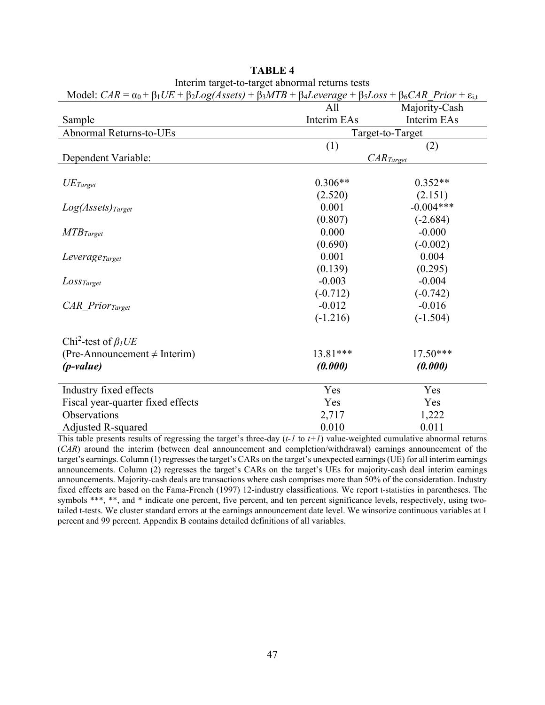| Model: $CAR = \alpha_0 + \beta_1 UE + \beta_2 Log(Assets) + \beta_3 MTB + \beta_4 Leverage + \beta_5 Loss + \beta_6 CAR$ Prior + $\varepsilon_{i,t}$ |                  |               |  |  |
|------------------------------------------------------------------------------------------------------------------------------------------------------|------------------|---------------|--|--|
|                                                                                                                                                      | All              | Majority-Cash |  |  |
| Sample                                                                                                                                               | Interim EAs      | Interim EAs   |  |  |
| Abnormal Returns-to-UEs                                                                                                                              | Target-to-Target |               |  |  |
|                                                                                                                                                      | (1)<br>(2)       |               |  |  |
| Dependent Variable:                                                                                                                                  | $CAR_{Target}$   |               |  |  |
|                                                                                                                                                      |                  |               |  |  |
| $UE_{Target}$                                                                                                                                        | $0.306**$        | $0.352**$     |  |  |
|                                                                                                                                                      | (2.520)          | (2.151)       |  |  |
| $Log(Assets)_{Target}$                                                                                                                               | 0.001            | $-0.004***$   |  |  |
|                                                                                                                                                      | (0.807)          | $(-2.684)$    |  |  |
| $MTB_{Target}$                                                                                                                                       | 0.000            | $-0.000$      |  |  |
|                                                                                                                                                      | (0.690)          | $(-0.002)$    |  |  |
| Leverage <sub>Target</sub>                                                                                                                           | 0.001            | 0.004         |  |  |
|                                                                                                                                                      | (0.139)          | (0.295)       |  |  |
| $Loss_{Target}$                                                                                                                                      | $-0.003$         | $-0.004$      |  |  |
|                                                                                                                                                      | $(-0.712)$       | $(-0.742)$    |  |  |
| CAR Prior <sub>Target</sub>                                                                                                                          | $-0.012$         | $-0.016$      |  |  |
|                                                                                                                                                      | $(-1.216)$       | $(-1.504)$    |  |  |
|                                                                                                                                                      |                  |               |  |  |
| Chi <sup>2</sup> -test of $\beta_l U E$                                                                                                              |                  |               |  |  |
| (Pre-Announcement $\neq$ Interim)                                                                                                                    | 13.81***         | $17.50***$    |  |  |
| $(p-value)$                                                                                                                                          | (0.000)          | (0.000)       |  |  |
| Industry fixed effects                                                                                                                               | Yes              | Yes           |  |  |
| Fiscal year-quarter fixed effects                                                                                                                    | Yes              | Yes           |  |  |
| Observations                                                                                                                                         | 2,717            | 1,222         |  |  |
| Adjusted R-squared                                                                                                                                   | 0.010            | 0.011         |  |  |

| <b>TABLE 4</b>                                  |
|-------------------------------------------------|
| Interim target-to-target abnormal returns tests |

This table presents results of regressing the target's three-day (*t-1* to *t+1*) value-weighted cumulative abnormal returns (*CAR*) around the interim (between deal announcement and completion/withdrawal) earnings announcement of the target's earnings. Column (1) regresses the target's CARs on the target's unexpected earnings (UE) for all interim earnings announcements. Column (2) regresses the target's CARs on the target's UEs for majority-cash deal interim earnings announcements. Majority-cash deals are transactions where cash comprises more than 50% of the consideration. Industry fixed effects are based on the Fama-French (1997) 12-industry classifications. We report t-statistics in parentheses. The symbols \*\*\*, \*\*, and \* indicate one percent, five percent, and ten percent significance levels, respectively, using twotailed t-tests. We cluster standard errors at the earnings announcement date level. We winsorize continuous variables at 1 percent and 99 percent. Appendix B contains detailed definitions of all variables.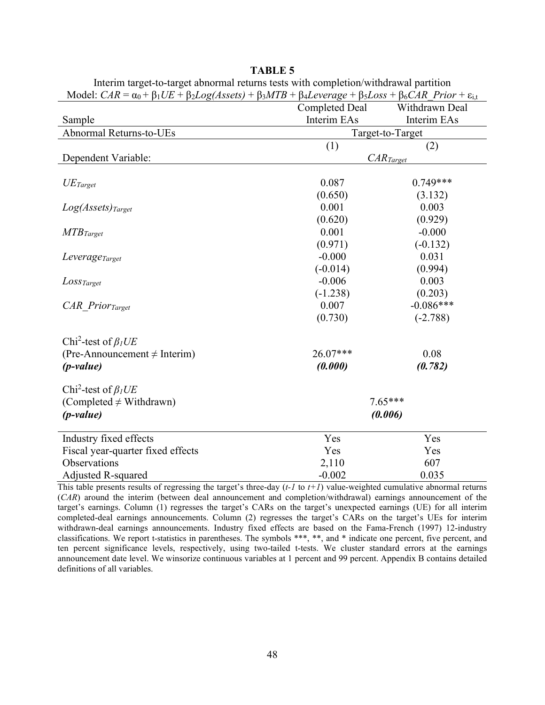| IVIOGEL CAN = $\alpha_0$ + $\beta_1$ CE + $\beta_2$ LOg(Assets) + $\beta_3$ MTD + $\beta_4$ Leverage + $\beta_5$ LOSS + $\beta_6$ CAN Trior + $\varepsilon_{i,t}$ |                       |                |  |  |  |
|-------------------------------------------------------------------------------------------------------------------------------------------------------------------|-----------------------|----------------|--|--|--|
|                                                                                                                                                                   | <b>Completed Deal</b> | Withdrawn Deal |  |  |  |
| Sample                                                                                                                                                            | Interim EAs           | Interim EAs    |  |  |  |
| Abnormal Returns-to-UEs                                                                                                                                           | Target-to-Target      |                |  |  |  |
|                                                                                                                                                                   | (1)<br>(2)            |                |  |  |  |
| Dependent Variable:                                                                                                                                               | $CAR_{Target}$        |                |  |  |  |
|                                                                                                                                                                   |                       |                |  |  |  |
| $UE_{Target}$                                                                                                                                                     | 0.087                 | $0.749***$     |  |  |  |
|                                                                                                                                                                   | (0.650)               | (3.132)        |  |  |  |
| $Log(Assets)_{Target}$                                                                                                                                            | 0.001                 | 0.003          |  |  |  |
|                                                                                                                                                                   | (0.620)               | (0.929)        |  |  |  |
| $MTB_{Target}$                                                                                                                                                    | 0.001                 | $-0.000$       |  |  |  |
|                                                                                                                                                                   | (0.971)               | $(-0.132)$     |  |  |  |
| Leverage <sub>Target</sub>                                                                                                                                        | $-0.000$              | 0.031          |  |  |  |
|                                                                                                                                                                   | $(-0.014)$            | (0.994)        |  |  |  |
| $Loss_{Target}$                                                                                                                                                   | $-0.006$              | 0.003          |  |  |  |
|                                                                                                                                                                   | $(-1.238)$            | (0.203)        |  |  |  |
| CAR Prior <sub>Target</sub>                                                                                                                                       | 0.007                 | $-0.086***$    |  |  |  |
|                                                                                                                                                                   | (0.730)               | $(-2.788)$     |  |  |  |
| Chi <sup>2</sup> -test of $\beta_l U E$                                                                                                                           |                       |                |  |  |  |
| (Pre-Announcement $\neq$ Interim)                                                                                                                                 | 26.07***              | 0.08           |  |  |  |
| $(p-value)$                                                                                                                                                       | (0.000)               | (0.782)        |  |  |  |
| Chi <sup>2</sup> -test of $\beta_l U E$                                                                                                                           |                       |                |  |  |  |
| (Completed $\neq$ Withdrawn)                                                                                                                                      | $7.65***$             |                |  |  |  |
| $(p-value)$                                                                                                                                                       | (0.006)               |                |  |  |  |
|                                                                                                                                                                   |                       |                |  |  |  |
| Industry fixed effects                                                                                                                                            | Yes                   | Yes            |  |  |  |
| Fiscal year-quarter fixed effects                                                                                                                                 | Yes                   | Yes            |  |  |  |
| Observations                                                                                                                                                      | 2,110                 | 607            |  |  |  |
| <b>Adjusted R-squared</b>                                                                                                                                         | $-0.002$              | 0.035          |  |  |  |

| ABLI<br>в. |  |
|------------|--|
|------------|--|

Interim target-to-target abnormal returns tests with completion/withdrawal partition Model:  $CAR = \alpha_0 + \beta_1 I/F + \beta_2 I \alpha_0 (A \text{sset}) + \beta_2 MTR + \beta_3 I \alpha_2 \alpha_3 \alpha_4 + \beta_5 I \alpha_5 \beta_5 + \beta_6 CAR$  Prior + si

This table presents results of regressing the target's three-day (*t-1* to *t+1*) value-weighted cumulative abnormal returns (*CAR*) around the interim (between deal announcement and completion/withdrawal) earnings announcement of the target's earnings. Column (1) regresses the target's CARs on the target's unexpected earnings (UE) for all interim completed-deal earnings announcements. Column (2) regresses the target's CARs on the target's UEs for interim withdrawn-deal earnings announcements. Industry fixed effects are based on the Fama-French (1997) 12-industry classifications. We report t-statistics in parentheses. The symbols \*\*\*, \*\*, and \* indicate one percent, five percent, and ten percent significance levels, respectively, using two-tailed t-tests. We cluster standard errors at the earnings announcement date level. We winsorize continuous variables at 1 percent and 99 percent. Appendix B contains detailed definitions of all variables.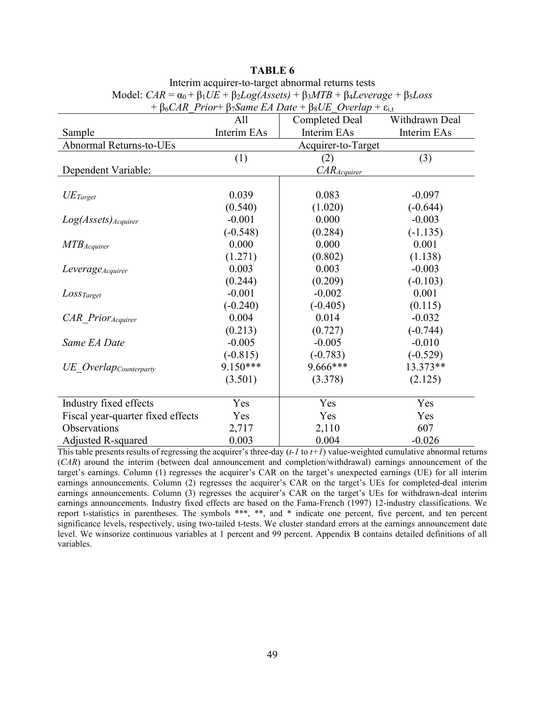| $p_0$ CAR Trior politic LA Dute process Overlap c <sub>1,t</sub> |             |                                         |             |  |  |  |
|------------------------------------------------------------------|-------------|-----------------------------------------|-------------|--|--|--|
|                                                                  | All         | Withdrawn Deal<br><b>Completed Deal</b> |             |  |  |  |
| Sample                                                           | Interim EAs | Interim EAs                             | Interim EAs |  |  |  |
| <b>Abnormal Returns-to-UEs</b>                                   |             | Acquirer-to-Target                      |             |  |  |  |
|                                                                  | (1)         | (2)                                     | (3)         |  |  |  |
| Dependent Variable:                                              |             | $CAR_{A\text{cquirer}}$                 |             |  |  |  |
|                                                                  |             |                                         |             |  |  |  |
| $UE_{Target}$                                                    | 0.039       | 0.083                                   | $-0.097$    |  |  |  |
|                                                                  | (0.540)     | (1.020)                                 | $(-0.644)$  |  |  |  |
| Log(Assets) Acquirer                                             | $-0.001$    | 0.000                                   | $-0.003$    |  |  |  |
|                                                                  | $(-0.548)$  | (0.284)                                 | $(-1.135)$  |  |  |  |
| $MTB_{Acquire}$                                                  | 0.000       | 0.000                                   | 0.001       |  |  |  |
|                                                                  | (1.271)     | (0.802)                                 | (1.138)     |  |  |  |
| <i>Leverage<sub>Acquirer</sub></i>                               | 0.003       | 0.003                                   | $-0.003$    |  |  |  |
|                                                                  | (0.244)     | (0.209)                                 | $(-0.103)$  |  |  |  |
| $Loss_{Target}$                                                  | $-0.001$    | $-0.002$                                | 0.001       |  |  |  |
|                                                                  | $(-0.240)$  | $(-0.405)$                              | (0.115)     |  |  |  |
| CAR Prior Acquirer                                               | 0.004       | 0.014                                   | $-0.032$    |  |  |  |
|                                                                  | (0.213)     | (0.727)                                 | $(-0.744)$  |  |  |  |
| Same EA Date                                                     | $-0.005$    | $-0.005$                                | $-0.010$    |  |  |  |
|                                                                  | $(-0.815)$  | $(-0.783)$                              | $(-0.529)$  |  |  |  |
| UE Overlap <sub>Counterparty</sub>                               | $9.150***$  | 9.666***                                | 13.373**    |  |  |  |
|                                                                  | (3.501)     | (3.378)                                 | (2.125)     |  |  |  |
|                                                                  |             |                                         |             |  |  |  |
| Industry fixed effects                                           | Yes         | Yes                                     | Yes         |  |  |  |
| Fiscal year-quarter fixed effects                                | Yes         | Yes                                     | Yes         |  |  |  |
| Observations                                                     | 2,717       | 2,110                                   | 607         |  |  |  |
| Adjusted R-squared                                               | 0.003       | 0.004                                   | $-0.026$    |  |  |  |

## **TABLE 6** Interim acquirer-to-target abnormal returns tests Model:  $CAR = \alpha_0 + \beta_1 UE + \beta_2 Log(Assets) + \beta_3 MTB + \beta_4 Leverage + \beta_5 Loss$  $+ B_c CAR$ <sup>*Prior*+  $B_7$ *Same EA Date* +  $B_8$ *UE Overlan* + εi,</sup>

This table presents results of regressing the acquirer's three-day  $(t-1)$  to  $t+1$ ) value-weighted cumulative abnormal returns (*CAR*) around the interim (between deal announcement and completion/withdrawal) earnings announcement of the target's earnings. Column (1) regresses the acquirer's CAR on the target's unexpected earnings (UE) for all interim earnings announcements. Column (2) regresses the acquirer's CAR on the target's UEs for completed-deal interim earnings announcements. Column (3) regresses the acquirer's CAR on the target's UEs for withdrawn-deal interim earnings announcements. Industry fixed effects are based on the Fama-French (1997) 12-industry classifications. We report t-statistics in parentheses. The symbols \*\*\*, \*\*, and \* indicate one percent, five percent, and ten percent significance levels, respectively, using two-tailed t-tests. We cluster standard errors at the earnings announcement date level. We winsorize continuous variables at 1 percent and 99 percent. Appendix B contains detailed definitions of all variables.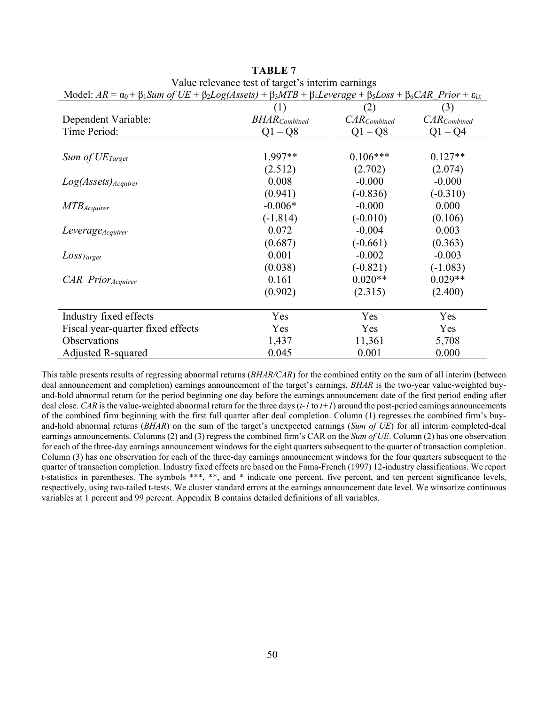| Model: $AR = \alpha_0 + \beta_1 Sum$ of $UE + \beta_2 Log(Assets) + \beta_3 MTB + \beta_4 Leverage + \beta_5 Loss + \beta_6 CAR$ Prior + $\varepsilon_{i,t}$ |                      |                  |                  |  |
|--------------------------------------------------------------------------------------------------------------------------------------------------------------|----------------------|------------------|------------------|--|
|                                                                                                                                                              | (1)                  | (2)              | (3)              |  |
| Dependent Variable:                                                                                                                                          | <b>BHAR</b> Combined | $CAR_{Combined}$ | $CAR_{Combined}$ |  |
| Time Period:                                                                                                                                                 | $Q1 - Q8$            | $Q1 - Q8$        | $Q1 - Q4$        |  |
|                                                                                                                                                              |                      |                  |                  |  |
| Sum of $UE_{Target}$                                                                                                                                         | $1.997**$            | $0.106***$       | $0.127**$        |  |
|                                                                                                                                                              | (2.512)              | (2.702)          | (2.074)          |  |
| Log(Assets) Acquirer                                                                                                                                         | 0.008                | $-0.000$         | $-0.000$         |  |
|                                                                                                                                                              | (0.941)              | $(-0.836)$       | $(-0.310)$       |  |
| $MTB$ <i>Acquirer</i>                                                                                                                                        | $-0.006*$            | $-0.000$         | 0.000            |  |
|                                                                                                                                                              | $(-1.814)$           | $(-0.010)$       | (0.106)          |  |
| Leverage Acquirer                                                                                                                                            | 0.072                | $-0.004$         | 0.003            |  |
|                                                                                                                                                              | (0.687)              | $(-0.661)$       | (0.363)          |  |
| $Loss_{Target}$                                                                                                                                              | 0.001                | $-0.002$         | $-0.003$         |  |
|                                                                                                                                                              | (0.038)              | $(-0.821)$       | $(-1.083)$       |  |
| $CAR$ Prior $_{Acquire}$                                                                                                                                     | 0.161                | $0.020**$        | $0.029**$        |  |
|                                                                                                                                                              | (0.902)              | (2.315)          | (2.400)          |  |
|                                                                                                                                                              |                      |                  |                  |  |
| Industry fixed effects                                                                                                                                       | Yes                  | Yes              | Yes              |  |
| Fiscal year-quarter fixed effects                                                                                                                            | Yes                  | Yes              | Yes              |  |
| Observations                                                                                                                                                 | 1,437                | 11,361           | 5,708            |  |
| Adjusted R-squared                                                                                                                                           | 0.045                | 0.001            | 0.000            |  |

**TABLE 7** Value relevance test of target's interim earnings<br> $V<sub>U</sub>U<sub>F</sub> + B<sub>U</sub> = 2(4 \times 10^{14} \text{ J} \cdot \text{C})$ 

Adjusted R-squared 0.045 0.001 0.000 This table presents results of regressing abnormal returns (*BHAR/CAR*) for the combined entity on the sum of all interim (between deal announcement and completion) earnings announcement of the target's earnings. *BHAR* is the two-year value-weighted buyand-hold abnormal return for the period beginning one day before the earnings announcement date of the first period ending after deal close. *CAR* is the value-weighted abnormal return for the three days (*t-1* to *t+1*) around the post-period earnings announcements of the combined firm beginning with the first full quarter after deal completion. Column (1) regresses the combined firm's buyand-hold abnormal returns (*BHAR*) on the sum of the target's unexpected earnings (*Sum of UE*) for all interim completed-deal earnings announcements. Columns (2) and (3) regress the combined firm's CAR on the *Sum of UE*. Column (2) has one observation for each of the three-day earnings announcement windows for the eight quarters subsequent to the quarter of transaction completion. Column (3) has one observation for each of the three-day earnings announcement windows for the four quarters subsequent to the quarter of transaction completion. Industry fixed effects are based on the Fama-French (1997) 12-industry classifications. We report t-statistics in parentheses. The symbols \*\*\*, \*\*, and \* indicate one percent, five percent, and ten percent significance levels, respectively, using two-tailed t-tests. We cluster standard errors at the earnings announcement date level. We winsorize continuous

variables at 1 percent and 99 percent. Appendix B contains detailed definitions of all variables.